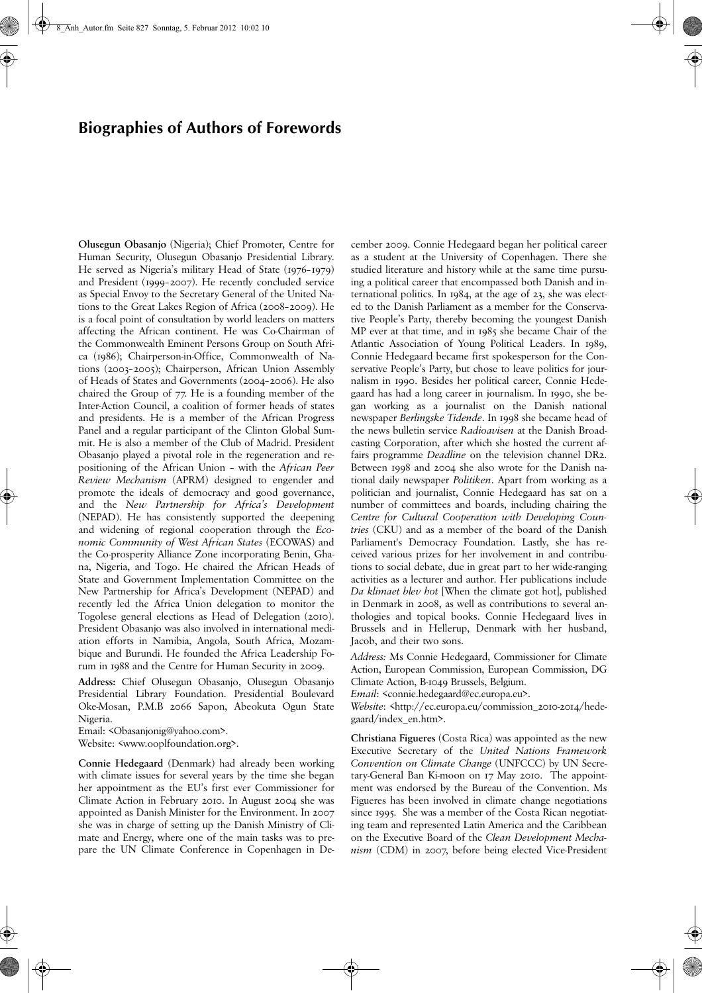## **Biographies of Authors of Forewords**

**Olusegun Obasanjo** (Nigeria); Chief Promoter, Centre for Human Security, Olusegun Obasanjo Presidential Library. He served as Nigeria's military Head of State (1976–1979) and President (1999–2007). He recently concluded service as Special Envoy to the Secretary General of the United Nations to the Great Lakes Region of Africa (2008–2009). He is a focal point of consultation by world leaders on matters affecting the African continent. He was Co-Chairman of the Commonwealth Eminent Persons Group on South Africa (1986); Chairperson-in-Office, Commonwealth of Nations (2003–2005); Chairperson, African Union Assembly of Heads of States and Governments (2004–2006). He also chaired the Group of 77. He is a founding member of the Inter-Action Council, a coalition of former heads of states and presidents. He is a member of the African Progress Panel and a regular participant of the Clinton Global Summit. He is also a member of the Club of Madrid. President Obasanjo played a pivotal role in the regeneration and repositioning of the African Union – with the *African Peer Review Mechanism* (APRM) designed to engender and promote the ideals of democracy and good governance, and the *New Partnership for Africa's Development* (NEPAD). He has consistently supported the deepening and widening of regional cooperation through the *Economic Community of West African States* (ECOWAS) and the Co-prosperity Alliance Zone incorporating Benin, Ghana, Nigeria, and Togo. He chaired the African Heads of State and Government Implementation Committee on the New Partnership for Africa's Development (NEPAD) and recently led the Africa Union delegation to monitor the Togolese general elections as Head of Delegation (2010). President Obasanjo was also involved in international mediation efforts in Namibia, Angola, South Africa, Mozambique and Burundi. He founded the Africa Leadership Forum in 1988 and the Centre for Human Security in 2009.

**Address:** Chief Olusegun Obasanjo, Olusegun Obasanjo Presidential Library Foundation. Presidential Boulevard Oke-Mosan, P.M.B 2066 Sapon, Abeokuta Ogun State Nigeria.

Email: <Obasanjonig@yahoo.com>.

Website: <www.ooplfoundation.org>.

**Connie Hedegaard** (Denmark) had already been working with climate issues for several years by the time she began her appointment as the EU's first ever Commissioner for Climate Action in February 2010. In August 2004 she was appointed as Danish Minister for the Environment. In 2007 she was in charge of setting up the Danish Ministry of Climate and Energy, where one of the main tasks was to prepare the UN Climate Conference in Copenhagen in De-

cember 2009. Connie Hedegaard began her political career as a student at the University of Copenhagen. There she studied literature and history while at the same time pursuing a political career that encompassed both Danish and international politics. In 1984, at the age of 23, she was elected to the Danish Parliament as a member for the Conservative People's Party, thereby becoming the youngest Danish MP ever at that time, and in 1985 she became Chair of the Atlantic Association of Young Political Leaders. In 1989, Connie Hedegaard became first spokesperson for the Conservative People's Party, but chose to leave politics for journalism in 1990. Besides her political career, Connie Hedegaard has had a long career in journalism. In 1990, she began working as a journalist on the Danish national newspaper *Berlingske Tidende*. In 1998 she became head of the news bulletin service *Radioavisen* at the Danish Broadcasting Corporation, after which she hosted the current affairs programme *Deadline* on the television channel DR2. Between 1998 and 2004 she also wrote for the Danish national daily newspaper *Politiken*. Apart from working as a politician and journalist, Connie Hedegaard has sat on a number of committees and boards, including chairing the *Centre for Cultural Cooperation with Developing Countries* (CKU) and as a member of the board of the Danish Parliament's Democracy Foundation. Lastly, she has received various prizes for her involvement in and contributions to social debate, due in great part to her wide-ranging activities as a lecturer and author. Her publications include *Da klimaet blev hot* [When the climate got hot], published in Denmark in 2008, as well as contributions to several anthologies and topical books. Connie Hedegaard lives in Brussels and in Hellerup, Denmark with her husband, Jacob, and their two sons.

*Address:* Ms Connie Hedegaard, Commissioner for Climate Action, European Commission, European Commission, DG Climate Action, B-1049 Brussels, Belgium.

*Email*: <connie.hedegaard@ec.europa.eu>.

*Website*: <http://ec.europa.eu/commission\_2010-2014/hedegaard/index\_en.htm>.

**Christiana Figueres** (Costa Rica) was appointed as the new Executive Secretary of the *United Nations Framework Convention on Climate Change* (UNFCCC) by UN Secretary-General Ban Ki-moon on 17 May 2010. The appointment was endorsed by the Bureau of the Convention. Ms Figueres has been involved in climate change negotiations since 1995. She was a member of the Costa Rican negotiating team and represented Latin America and the Caribbean on the Executive Board of the *Clean Development Mechanism* (CDM) in 2007, before being elected Vice-President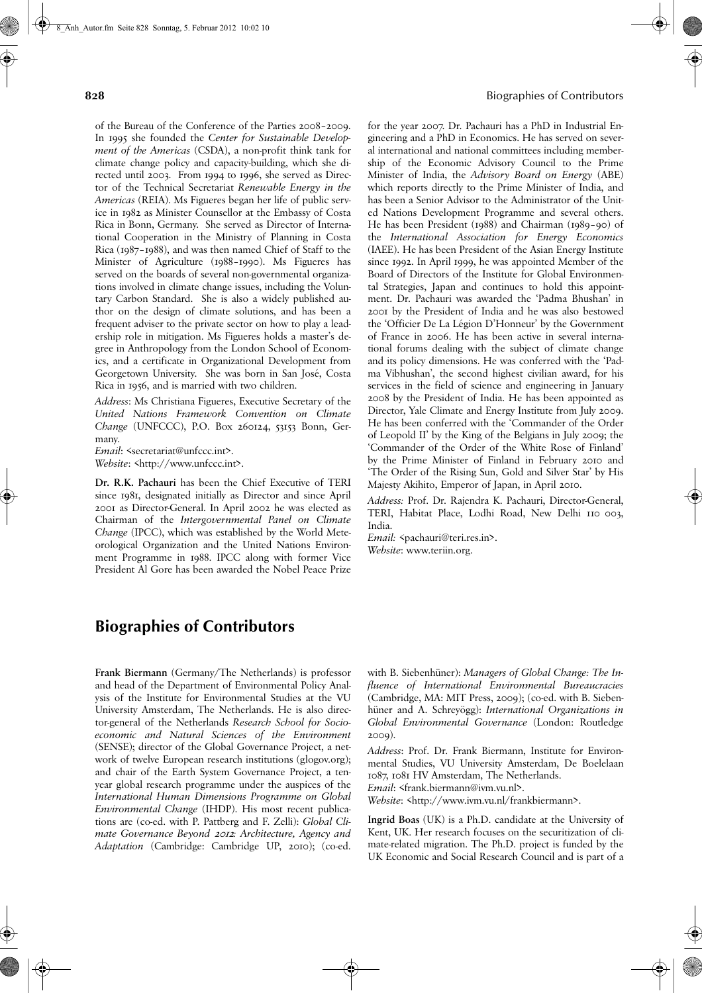of the Bureau of the Conference of the Parties 2008–2009. In 1995 she founded the *Center for Sustainable Development of the Americas* (CSDA), a non-profit think tank for climate change policy and capacity-building, which she directed until 2003. From 1994 to 1996, she served as Director of the Technical Secretariat *Renewable Energy in the Americas* (REIA). Ms Figueres began her life of public service in 1982 as Minister Counsellor at the Embassy of Costa Rica in Bonn, Germany. She served as Director of International Cooperation in the Ministry of Planning in Costa Rica (1987–1988), and was then named Chief of Staff to the Minister of Agriculture (1988–1990). Ms Figueres has served on the boards of several non-governmental organizations involved in climate change issues, including the Voluntary Carbon Standard. She is also a widely published author on the design of climate solutions, and has been a frequent adviser to the private sector on how to play a leadership role in mitigation. Ms Figueres holds a master's degree in Anthropology from the London School of Economics, and a certificate in Organizational Development from Georgetown University. She was born in San José, Costa Rica in 1956, and is married with two children.

*Address*: Ms Christiana Figueres, Executive Secretary of the *United Nations Framework Convention on Climate Change* (UNFCCC), P.O. Box 260124, 53153 Bonn, Germany.

*Email*: <secretariat@unfccc.int>. *Website*: <http://www.unfccc.int>.

**Dr. R.K. Pachauri** has been the Chief Executive of TERI since 1981, designated initially as Director and since April 2001 as Director-General. In April 2002 he was elected as Chairman of the *Intergovernmental Panel on Climate Change* (IPCC), which was established by the World Meteorological Organization and the United Nations Environment Programme in 1988. IPCC along with former Vice President Al Gore has been awarded the Nobel Peace Prize

## **Biographies of Contributors**

**Frank Biermann** (Germany/The Netherlands) is professor and head of the Department of Environmental Policy Analysis of the Institute for Environmental Studies at the VU University Amsterdam, The Netherlands. He is also director-general of the Netherlands *Research School for Socioeconomic and Natural Sciences of the Environment* (SENSE); director of the Global Governance Project, a network of twelve European research institutions (glogov.org); and chair of the Earth System Governance Project, a tenyear global research programme under the auspices of the *International Human Dimensions Programme on Global Environmental Change* (IHDP). His most recent publications are (co-ed. with P. Pattberg and F. Zelli): *Global Climate Governance Beyond* 2012*: Architecture, Agency and Adaptation* (Cambridge: Cambridge UP, 2010); (co-ed.

for the year 2007. Dr. Pachauri has a PhD in Industrial Engineering and a PhD in Economics. He has served on several international and national committees including membership of the Economic Advisory Council to the Prime Minister of India, the *Advisory Board on Energy* (ABE) which reports directly to the Prime Minister of India, and has been a Senior Advisor to the Administrator of the United Nations Development Programme and several others. He has been President (1988) and Chairman (1989–90) of the *International Association for Energy Economics* (IAEE). He has been President of the Asian Energy Institute since 1992. In April 1999, he was appointed Member of the Board of Directors of the Institute for Global Environmental Strategies, Japan and continues to hold this appointment. Dr. Pachauri was awarded the 'Padma Bhushan' in 2001 by the President of India and he was also bestowed the 'Officier De La Légion D'Honneur' by the Government of France in 2006. He has been active in several international forums dealing with the subject of climate change and its policy dimensions. He was conferred with the 'Padma Vibhushan', the second highest civilian award, for his services in the field of science and engineering in January 2008 by the President of India. He has been appointed as Director, Yale Climate and Energy Institute from July 2009. He has been conferred with the 'Commander of the Order of Leopold II' by the King of the Belgians in July 2009; the 'Commander of the Order of the White Rose of Finland' by the Prime Minister of Finland in February 2010 and 'The Order of the Rising Sun, Gold and Silver Star' by His Majesty Akihito, Emperor of Japan, in April 2010.

*Address:* Prof. Dr. Rajendra K. Pachauri, Director-General, TERI, Habitat Place, Lodhi Road, New Delhi 110 003, India.

*Email:* <pachauri@teri.res.in>. *Website*: www.teriin.org.

with B. Siebenhüner): *Managers of Global Change: The Influence of International Environmental Bureaucracies* (Cambridge, MA: MIT Press, 2009); (co-ed. with B. Siebenhüner and A. Schreyögg): *International Organizations in Global Environmental Governance* (London: Routledge 2009).

*Address*: Prof. Dr. Frank Biermann, Institute for Environmental Studies, VU University Amsterdam, De Boelelaan 1087, 1081 HV Amsterdam, The Netherlands.

*Email*: <frank.biermann@ivm.vu.nl>.

*Website*: <http://www.ivm.vu.nl/frankbiermann>.

**Ingrid Boas** (UK) is a Ph.D. candidate at the University of Kent, UK. Her research focuses on the securitization of climate-related migration. The Ph.D. project is funded by the UK Economic and Social Research Council and is part of a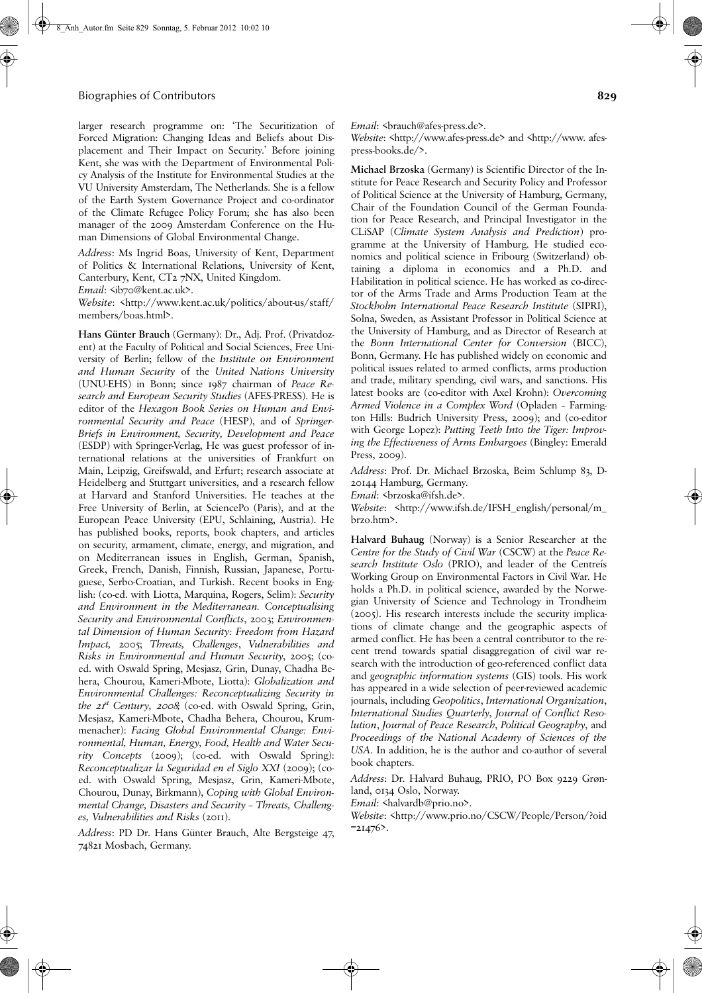larger research programme on: 'The Securitization of Forced Migration: Changing Ideas and Beliefs about Displacement and Their Impact on Security.' Before joining Kent, she was with the Department of Environmental Policy Analysis of the Institute for Environmental Studies at the VU University Amsterdam, The Netherlands. She is a fellow of the Earth System Governance Project and co-ordinator of the Climate Refugee Policy Forum; she has also been manager of the 2009 Amsterdam Conference on the Human Dimensions of Global Environmental Change.

*Address*: Ms Ingrid Boas, University of Kent, Department of Politics & International Relations, University of Kent, Canterbury, Kent, CT2 7NX, United Kingdom.

*Email*: <ib70@kent.ac.uk>.

*Website*: <http://www.kent.ac.uk/politics/about-us/staff/ members/boas.html>.

**Hans Günter Brauch** (Germany): Dr., Adj. Prof. (Privatdozent) at the Faculty of Political and Social Sciences, Free University of Berlin; fellow of the *Institute on Environment and Human Security* of the *United Nations University* (UNU-EHS) in Bonn; since 1987 chairman of *Peace Research and European Security Studies* (AFES-PRESS). He is editor of the *Hexagon Book Series on Human and Environmental Security and Peace* (HESP), and of *Springer-Briefs in Environment, Security, Development and Peace* (ESDP) with Springer-Verlag, He was guest professor of international relations at the universities of Frankfurt on Main, Leipzig, Greifswald, and Erfurt; research associate at Heidelberg and Stuttgart universities, and a research fellow at Harvard and Stanford Universities. He teaches at the Free University of Berlin, at SciencePo (Paris), and at the European Peace University (EPU, Schlaining, Austria). He has published books, reports, book chapters, and articles on security, armament, climate, energy, and migration, and on Mediterranean issues in English, German, Spanish, Greek, French, Danish, Finnish, Russian, Japanese, Portuguese, Serbo-Croatian, and Turkish. Recent books in English: (co-ed. with Liotta, Marquina, Rogers, Selim): *Security and Environment in the Mediterranean. Conceptualising Security and Environmental Conflicts*, 2003; *Environmental Dimension of Human Security: Freedom from Hazard Impact,* 2005; *Threats, Challenges*, *Vulnerabilities and Risks in Environmental and Human Security*, 2005; (coed. with Oswald Spring, Mesjasz, Grin, Dunay, Chadha Behera, Chourou, Kameri-Mbote, Liotta): *Globalization and Environmental Challenges: Reconceptualizing Security in the* 21*st Century,* 2008*;* (co-ed. with Oswald Spring, Grin, Mesjasz, Kameri-Mbote, Chadha Behera, Chourou, Krummenacher): *Facing Global Environmental Change: Environmental, Human, Energy, Food, Health and Water Security Concepts* (2009); (co-ed. with Oswald Spring): *Reconceptualizar la Seguridad en el Siglo XXI* (2009); (coed. with Oswald Spring, Mesjasz, Grin, Kameri-Mbote, Chourou, Dunay, Birkmann), *Coping with Global Environmental Change, Disasters and Security – Threats, Challenges, Vulnerabilities and Risks* (2011).

*Address*: PD Dr. Hans Günter Brauch, Alte Bergsteige 47, 74821 Mosbach, Germany.

*Email*: <br />
strauch@afes-press.de>.

*Website*: <http://www.afes-press.de> and <http://www. afespress-books.de/>.

**Michael Brzoska** (Germany) is Scientific Director of the Institute for Peace Research and Security Policy and Professor of Political Science at the University of Hamburg, Germany, Chair of the Foundation Council of the German Foundation for Peace Research, and Principal Investigator in the CLiSAP (*Climate System Analysis and Prediction*) programme at the University of Hamburg. He studied economics and political science in Fribourg (Switzerland) obtaining a diploma in economics and a Ph.D. and Habilitation in political science. He has worked as co-director of the Arms Trade and Arms Production Team at the *Stockholm International Peace Research Institute* (SIPRI), Solna, Sweden, as Assistant Professor in Political Science at the University of Hamburg, and as Director of Research at the *Bonn International Center for Conversion* (BICC), Bonn, Germany. He has published widely on economic and political issues related to armed conflicts, arms production and trade, military spending, civil wars, and sanctions. His latest books are (co-editor with Axel Krohn): *Overcoming Armed Violence in a Complex Word* (Opladen – Farmington Hills: Budrich University Press, 2009); and (co-editor with George Lopez): *Putting Teeth Into the Tiger: Improving the Effectiveness of Arms Embargoes* (Bingley: Emerald Press, 2009).

*Address*: Prof. Dr. Michael Brzoska, Beim Schlump 83, D-20144 Hamburg, Germany.

*Email*: <brzoska@ifsh.de>.

*Website*: <http://www.ifsh.de/IFSH\_english/personal/m\_ brzo.htm>.

**Halvard Buhaug** (Norway) is a Senior Researcher at the *Centre for the Study of Civil War* (CSCW) at the *Peace Research Institute Oslo* (PRIO), and leader of the Centreís Working Group on Environmental Factors in Civil War. He holds a Ph.D. in political science, awarded by the Norwegian University of Science and Technology in Trondheim (2005). His research interests include the security implications of climate change and the geographic aspects of armed conflict. He has been a central contributor to the recent trend towards spatial disaggregation of civil war research with the introduction of geo-referenced conflict data and *geographic information systems* (GIS) tools. His work has appeared in a wide selection of peer-reviewed academic journals, including *Geopolitics*, *International Organization*, *International Studies Quarterly*, *Journal of Conflict Resolution*, *Journal of Peace Research*, *Political Geography*, and *Proceedings of the National Academy of Sciences of the USA*. In addition, he is the author and co-author of several book chapters.

*Address*: Dr. Halvard Buhaug, PRIO, PO Box 9229 Grønland, 0134 Oslo, Norway.

*Email*: <halvardb@prio.no>.

*Website*: <http://www.prio.no/CSCW/People/Person/?oid  $= 21476$ .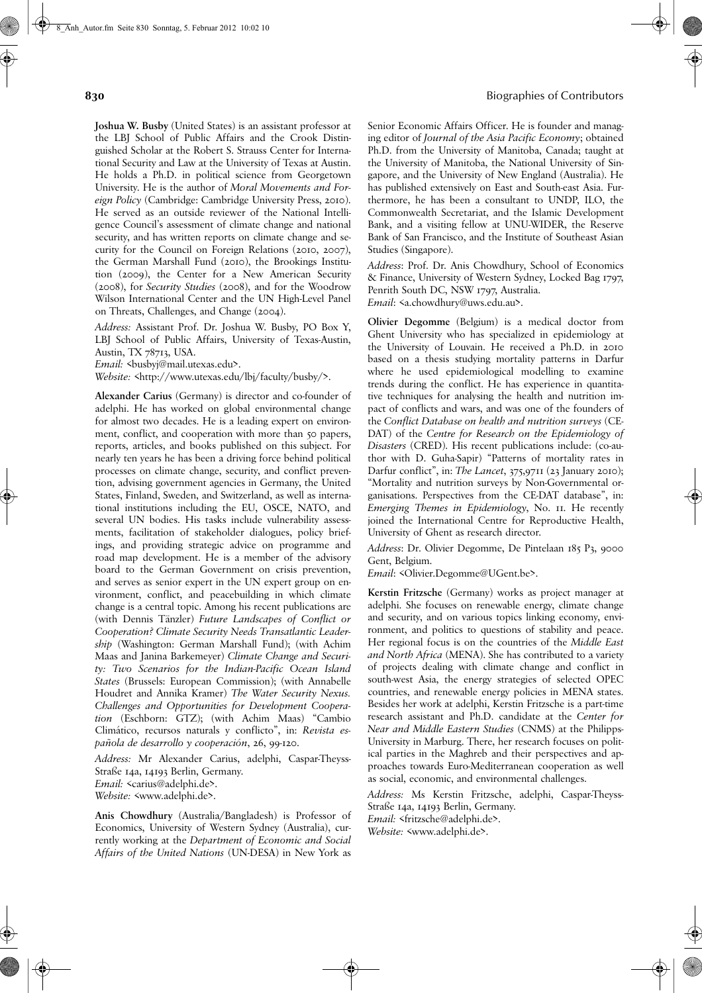**Joshua W. Busby** (United States) is an assistant professor at

the LBJ School of Public Affairs and the Crook Distinguished Scholar at the Robert S. Strauss Center for International Security and Law at the University of Texas at Austin. He holds a Ph.D. in political science from Georgetown University. He is the author of *Moral Movements and Foreign Policy* (Cambridge: Cambridge University Press, 2010). He served as an outside reviewer of the National Intelligence Council's assessment of climate change and national security, and has written reports on climate change and security for the Council on Foreign Relations (2010, 2007), the German Marshall Fund (2010), the Brookings Institution (2009), the Center for a New American Security (2008), for *Security Studies* (2008), and for the Woodrow Wilson International Center and the UN High-Level Panel on Threats, Challenges, and Change (2004).

*Address:* Assistant Prof. Dr. Joshua W. Busby, PO Box Y, LBJ School of Public Affairs, University of Texas-Austin, Austin, TX 78713, USA.

*Email:* <br/>busbyj@mail.utexas.edu>.

*Website:* <http://www.utexas.edu/lbj/faculty/busby/>.

**Alexander Carius** (Germany) is director and co-founder of adelphi. He has worked on global environmental change for almost two decades. He is a leading expert on environment, conflict, and cooperation with more than 50 papers, reports, articles, and books published on this subject. For nearly ten years he has been a driving force behind political processes on climate change, security, and conflict prevention, advising government agencies in Germany, the United States, Finland, Sweden, and Switzerland, as well as international institutions including the EU, OSCE, NATO, and several UN bodies. His tasks include vulnerability assessments, facilitation of stakeholder dialogues, policy briefings, and providing strategic advice on programme and road map development. He is a member of the advisory board to the German Government on crisis prevention, and serves as senior expert in the UN expert group on environment, conflict, and peacebuilding in which climate change is a central topic. Among his recent publications are (with Dennis Tänzler) *Future Landscapes of Conflict or Cooperation? Climate Security Needs Transatlantic Leadership* (Washington: German Marshall Fund); (with Achim Maas and Janina Barkemeyer) *Climate Change and Security: Two Scenarios for the Indian-Pacific Ocean Island States* (Brussels: European Commission); (with Annabelle Houdret and Annika Kramer) *The Water Security Nexus. Challenges and Opportunities for Development Cooperation* (Eschborn: GTZ); (with Achim Maas) "Cambio Climático, recursos naturals y conflicto", in: *Revista española de desarrollo y cooperación*, 26, 99-120.

*Address:* Mr Alexander Carius, adelphi, Caspar-Theyss-Straße 14a, 14193 Berlin, Germany. *Email:* <carius@adelphi.de>.

*Website:* <www.adelphi.de>.

**Anis Chowdhury** (Australia/Bangladesh) is Professor of Economics, University of Western Sydney (Australia), currently working at the *Department of Economic and Social Affairs of the United Nations* (UN-DESA) in New York as Senior Economic Affairs Officer. He is founder and managing editor of *Journal of the Asia Pacific Economy*; obtained Ph.D. from the University of Manitoba, Canada; taught at the University of Manitoba, the National University of Singapore, and the University of New England (Australia). He has published extensively on East and South-east Asia. Furthermore, he has been a consultant to UNDP, ILO, the Commonwealth Secretariat, and the Islamic Development Bank, and a visiting fellow at UNU-WIDER, the Reserve Bank of San Francisco, and the Institute of Southeast Asian Studies (Singapore).

*Address*: Prof. Dr. Anis Chowdhury, School of Economics & Finance, University of Western Sydney, Locked Bag 1797, Penrith South DC, NSW 1797, Australia. *Email*: <a.chowdhury@uws.edu.au>.

**Olivier Degomme** (Belgium) is a medical doctor from Ghent University who has specialized in epidemiology at the University of Louvain. He received a Ph.D. in 2010 based on a thesis studying mortality patterns in Darfur where he used epidemiological modelling to examine trends during the conflict. He has experience in quantitative techniques for analysing the health and nutrition impact of conflicts and wars, and was one of the founders of the *Conflict Database on health and nutrition surveys* (CE-DAT) of the *Centre for Research on the Epidemiology of Disasters* (CRED). His recent publications include: (co-author with D. Guha-Sapir) "Patterns of mortality rates in Darfur conflict", in: *The Lancet*, 375,9711 (23 January 2010); "Mortality and nutrition surveys by Non-Governmental organisations. Perspectives from the CE-DAT database", in: *Emerging Themes in Epidemiology*, No. 11. He recently joined the International Centre for Reproductive Health, University of Ghent as research director.

*Address*: Dr. Olivier Degomme, De Pintelaan 185 P3, 9000 Gent, Belgium.

*Email*: <Olivier.Degomme@UGent.be>.

**Kerstin Fritzsche** (Germany) works as project manager at adelphi. She focuses on renewable energy, climate change and security, and on various topics linking economy, environment, and politics to questions of stability and peace. Her regional focus is on the countries of the *Middle East and North Africa* (MENA). She has contributed to a variety of projects dealing with climate change and conflict in south-west Asia, the energy strategies of selected OPEC countries, and renewable energy policies in MENA states. Besides her work at adelphi, Kerstin Fritzsche is a part-time research assistant and Ph.D. candidate at the *Center for Near and Middle Eastern Studies* (CNMS) at the Philipps-University in Marburg. There, her research focuses on political parties in the Maghreb and their perspectives and approaches towards Euro-Mediterranean cooperation as well as social, economic, and environmental challenges.

*Address:* Ms Kerstin Fritzsche, adelphi, Caspar-Theyss-Straße 14a, 14193 Berlin, Germany.

*Email:* <fritzsche@adelphi.de>.

*Website:* <www.adelphi.de>.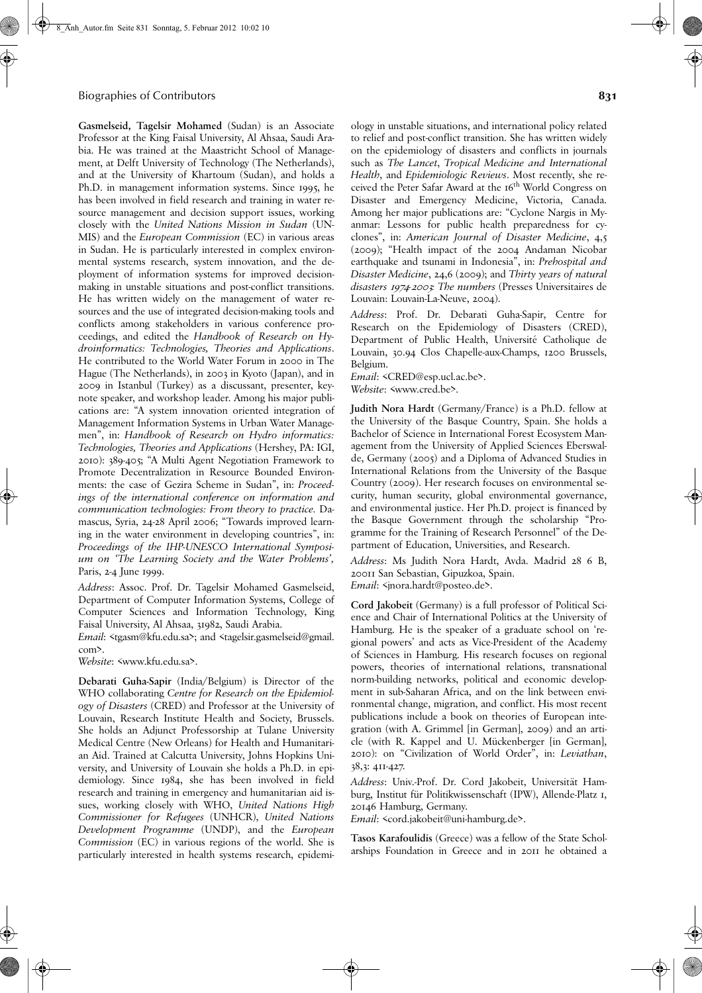**Gasmelseid, Tagelsir Mohamed** (Sudan) is an Associate Professor at the King Faisal University, Al Ahsaa, Saudi Arabia. He was trained at the Maastricht School of Management, at Delft University of Technology (The Netherlands), and at the University of Khartoum (Sudan), and holds a Ph.D. in management information systems. Since 1995, he has been involved in field research and training in water resource management and decision support issues, working closely with the *United Nations Mission in Sudan* (UN-MIS) and the *European Commission* (EC) in various areas in Sudan. He is particularly interested in complex environmental systems research, system innovation, and the deployment of information systems for improved decisionmaking in unstable situations and post-conflict transitions. He has written widely on the management of water resources and the use of integrated decision-making tools and conflicts among stakeholders in various conference proceedings, and edited the *Handbook of Research on Hydroinformatics: Technologies, Theories and Applications*. He contributed to the World Water Forum in 2000 in The Hague (The Netherlands), in 2003 in Kyoto (Japan), and in 2009 in Istanbul (Turkey) as a discussant, presenter, keynote speaker, and workshop leader. Among his major publications are: "A system innovation oriented integration of Management Information Systems in Urban Water Managemen", in: *Handbook of Research on Hydro informatics: Technologies, Theories and Applications* (Hershey, PA: IGI, 2010): 389-405; "A Multi Agent Negotiation Framework to Promote Decentralization in Resource Bounded Environments: the case of Gezira Scheme in Sudan", in: *Proceedings of the international conference on information and communication technologies: From theory to practice.* Damascus, Syria, 24-28 April 2006; "Towards improved learning in the water environment in developing countries", in: *Proceedings of the IHP-UNESCO International Symposium on 'The Learning Society and the Water Problems',* Paris, 2-4 June 1999.

*Address*: Assoc. Prof. Dr. Tagelsir Mohamed Gasmelseid, Department of Computer Information Systems, College of Computer Sciences and Information Technology, King Faisal University, Al Ahsaa, 31982, Saudi Arabia.

*Email*: <tgasm@kfu.edu.sa>; and <tagelsir.gasmelseid@gmail. com>.

*Website*: <www.kfu.edu.sa>.

**Debarati Guha-Sapir** (India/Belgium) is Director of the WHO collaborating *Centre for Research on the Epidemiology of Disasters* (CRED) and Professor at the University of Louvain, Research Institute Health and Society, Brussels. She holds an Adjunct Professorship at Tulane University Medical Centre (New Orleans) for Health and Humanitarian Aid. Trained at Calcutta University, Johns Hopkins University, and University of Louvain she holds a Ph.D. in epidemiology. Since 1984, she has been involved in field research and training in emergency and humanitarian aid issues, working closely with WHO, *United Nations High Commissioner for Refugees* (UNHCR), *United Nations Development Programme* (UNDP), and the *European Commission* (EC) in various regions of the world. She is particularly interested in health systems research, epidemiology in unstable situations, and international policy related to relief and post-conflict transition. She has written widely on the epidemiology of disasters and conflicts in journals such as *The Lancet*, *Tropical Medicine and International Health*, and *Epidemiologic Reviews*. Most recently, she received the Peter Safar Award at the 16<sup>th</sup> World Congress on Disaster and Emergency Medicine, Victoria, Canada. Among her major publications are: "Cyclone Nargis in Myanmar: Lessons for public health preparedness for cyclones", in: *American Journal of Disaster Medicine*, 4,5 (2009); "Health impact of the 2004 Andaman Nicobar earthquake and tsunami in Indonesia", in: *Prehospital and Disaster Medicine*, 24,6 (2009); and *Thirty years of natural disasters* 1974*-*2003*: The numbers* (Presses Universitaires de Louvain: Louvain-La-Neuve, 2004).

*Address*: Prof. Dr. Debarati Guha-Sapir, Centre for Research on the Epidemiology of Disasters (CRED), Department of Public Health, Université Catholique de Louvain, 30.94 Clos Chapelle-aux-Champs, 1200 Brussels, Belgium.

*Email*: <CRED@esp.ucl.ac.be>. *Website*: <www.cred.be>.

**Judith Nora Hardt** (Germany/France) is a Ph.D. fellow at the University of the Basque Country, Spain. She holds a Bachelor of Science in International Forest Ecosystem Management from the University of Applied Sciences Eberswalde, Germany (2005) and a Diploma of Advanced Studies in International Relations from the University of the Basque Country (2009). Her research focuses on environmental security, human security, global environmental governance, and environmental justice. Her Ph.D. project is financed by the Basque Government through the scholarship "Programme for the Training of Research Personnel" of the Department of Education, Universities, and Research.

*Address*: Ms Judith Nora Hardt, Avda. Madrid 28 6 B, 20011 San Sebastian, Gipuzkoa, Spain.

*Email*: <jnora.hardt@posteo.de>.

**Cord Jakobeit** (Germany) is a full professor of Political Science and Chair of International Politics at the University of Hamburg. He is the speaker of a graduate school on 'regional powers' and acts as Vice-President of the Academy of Sciences in Hamburg. His research focuses on regional powers, theories of international relations, transnational norm-building networks, political and economic development in sub-Saharan Africa, and on the link between environmental change, migration, and conflict. His most recent publications include a book on theories of European integration (with A. Grimmel [in German], 2009) and an article (with R. Kappel and U. Mückenberger [in German], 2010): on "Civilization of World Order", in: *Leviathan*, 38,3: 411-427.

*Address*: Univ.-Prof. Dr. Cord Jakobeit, Universität Hamburg, Institut für Politikwissenschaft (IPW), Allende-Platz 1, 20146 Hamburg, Germany.

*Email*: <cord.jakobeit@uni-hamburg.de>.

**Tasos Karafoulidis** (Greece) was a fellow of the State Scholarships Foundation in Greece and in 2011 he obtained a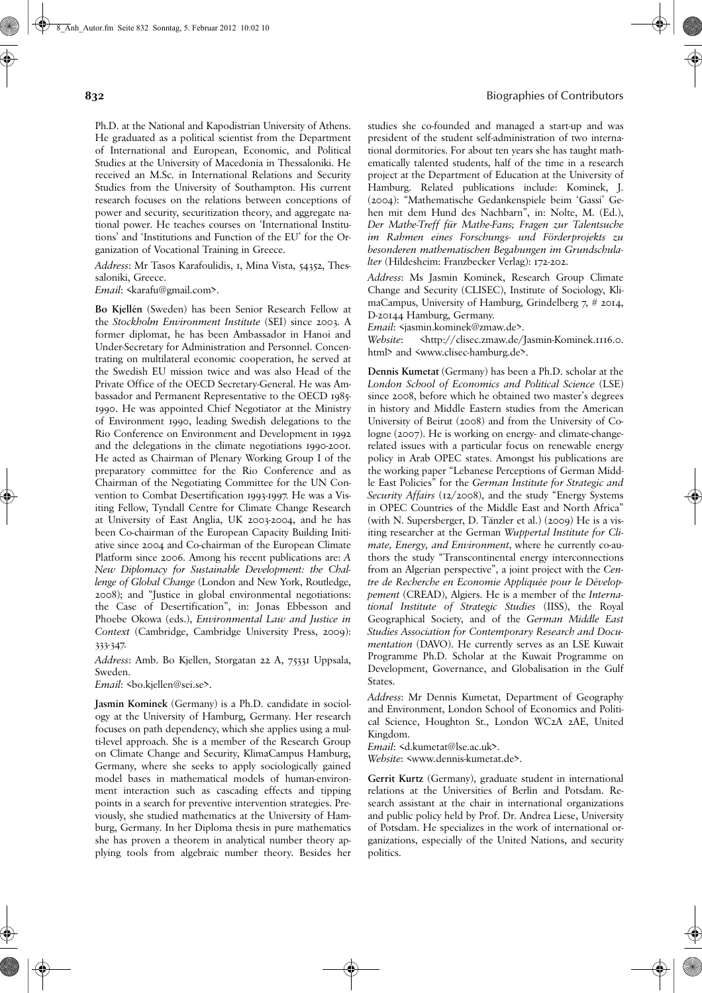Ph.D. at the National and Kapodistrian University of Athens. He graduated as a political scientist from the Department of International and European, Economic, and Political Studies at the University of Macedonia in Thessaloniki. He received an M.Sc. in International Relations and Security Studies from the University of Southampton. His current research focuses on the relations between conceptions of power and security, securitization theory, and aggregate national power. He teaches courses on 'International Institutions' and 'Institutions and Function of the EU' for the Organization of Vocational Training in Greece.

*Address*: Mr Tasos Karafoulidis, 1, Mina Vista, 54352, Thessaloniki, Greece.

*Email*: <karafu@gmail.com>.

**Bo Kjellén** (Sweden) has been Senior Research Fellow at the *Stockholm Environment Institute* (SEI) since 2003. A former diplomat, he has been Ambassador in Hanoi and Under-Secretary for Administration and Personnel. Concentrating on multilateral economic cooperation, he served at the Swedish EU mission twice and was also Head of the Private Office of the OECD Secretary-General. He was Ambassador and Permanent Representative to the OECD 1985- 1990. He was appointed Chief Negotiator at the Ministry of Environment 1990, leading Swedish delegations to the Rio Conference on Environment and Development in 1992 and the delegations in the climate negotiations 1990-2001. He acted as Chairman of Plenary Working Group I of the preparatory committee for the Rio Conference and as Chairman of the Negotiating Committee for the UN Convention to Combat Desertification 1993-1997. He was a Visiting Fellow, Tyndall Centre for Climate Change Research at University of East Anglia, UK 2003-2004, and he has been Co-chairman of the European Capacity Building Initiative since 2004 and Co-chairman of the European Climate Platform since 2006. Among his recent publications are: *A New Diplomacy for Sustainable Development: the Challenge of Global Change* (London and New York, Routledge, 2008); and "Justice in global environmental negotiations: the Case of Desertification", in: Jonas Ebbesson and Phoebe Okowa (eds.), *Environmental Law and Justice in Context* (Cambridge, Cambridge University Press, 2009): 333-347.

*Address*: Amb. Bo Kjellen, Storgatan 22 A, 75331 Uppsala, Sweden.

*Email*: <br/>bo.kjellen@sei.se>.

**Jasmin Kominek** (Germany) is a Ph.D. candidate in sociology at the University of Hamburg, Germany. Her research focuses on path dependency, which she applies using a multi-level approach. She is a member of the Research Group on Climate Change and Security, KlimaCampus Hamburg, Germany, where she seeks to apply sociologically gained model bases in mathematical models of human-environment interaction such as cascading effects and tipping points in a search for preventive intervention strategies. Previously, she studied mathematics at the University of Hamburg, Germany. In her Diploma thesis in pure mathematics she has proven a theorem in analytical number theory applying tools from algebraic number theory. Besides her

studies she co-founded and managed a start-up and was president of the student self-administration of two international dormitories. For about ten years she has taught mathematically talented students, half of the time in a research project at the Department of Education at the University of Hamburg. Related publications include: Kominek, J. (2004): "Mathematische Gedankenspiele beim 'Gassi' Gehen mit dem Hund des Nachbarn", in: Nolte, M. (Ed.), *Der Mathe-Treff für Mathe-Fans; Fragen zur Talentsuche im Rahmen eines Forschungs- und Förderprojekts zu besonderen mathematischen Begabungen im Grundschulalter* (Hildesheim: Franzbecker Verlag): 172-202.

*Address*: Ms Jasmin Kominek, Research Group Climate Change and Security (CLISEC), Institute of Sociology, KlimaCampus, University of Hamburg, Grindelberg 7, # 2014, D-20144 Hamburg, Germany.

*Email*: <jasmin.kominek@zmaw.de>.

*Website*: <http://clisec.zmaw.de/Jasmin-Kominek.1116.0. html> and <www.clisec-hamburg.de>.

**Dennis Kumetat** (Germany) has been a Ph.D. scholar at the *London School of Economics and Political Science* (LSE) since 2008, before which he obtained two master's degrees in history and Middle Eastern studies from the American University of Beirut (2008) and from the University of Cologne (2007). He is working on energy- and climate-changerelated issues with a particular focus on renewable energy policy in Arab OPEC states. Amongst his publications are the working paper "Lebanese Perceptions of German Middle East Policies" for the *German Institute for Strategic and Security Affairs* (12/2008), and the study "Energy Systems in OPEC Countries of the Middle East and North Africa" (with N. Supersberger, D. Tänzler et al.) (2009) He is a visiting researcher at the German *Wuppertal Institute for Climate, Energy, and Environment*, where he currently co-authors the study "Transcontinental energy interconnections from an Algerian perspective", a joint project with the *Centre de Recherche en Economie Appliquée pour le Développement* (CREAD), Algiers. He is a member of the *International Institute of Strategic Studies* (IISS), the Royal Geographical Society, and of the *German Middle East Studies Association for Contemporary Research and Documentation* (DAVO). He currently serves as an LSE Kuwait Programme Ph.D. Scholar at the Kuwait Programme on Development, Governance, and Globalisation in the Gulf States.

*Address*: Mr Dennis Kumetat, Department of Geography and Environment, London School of Economics and Political Science, Houghton St., London WC2A 2AE, United Kingdom.

*Email*: <d.kumetat@lse.ac.uk>.

*Website*: <www.dennis-kumetat.de>.

**Gerrit Kurtz** (Germany), graduate student in international relations at the Universities of Berlin and Potsdam. Research assistant at the chair in international organizations and public policy held by Prof. Dr. Andrea Liese, University of Potsdam. He specializes in the work of international organizations, especially of the United Nations, and security politics.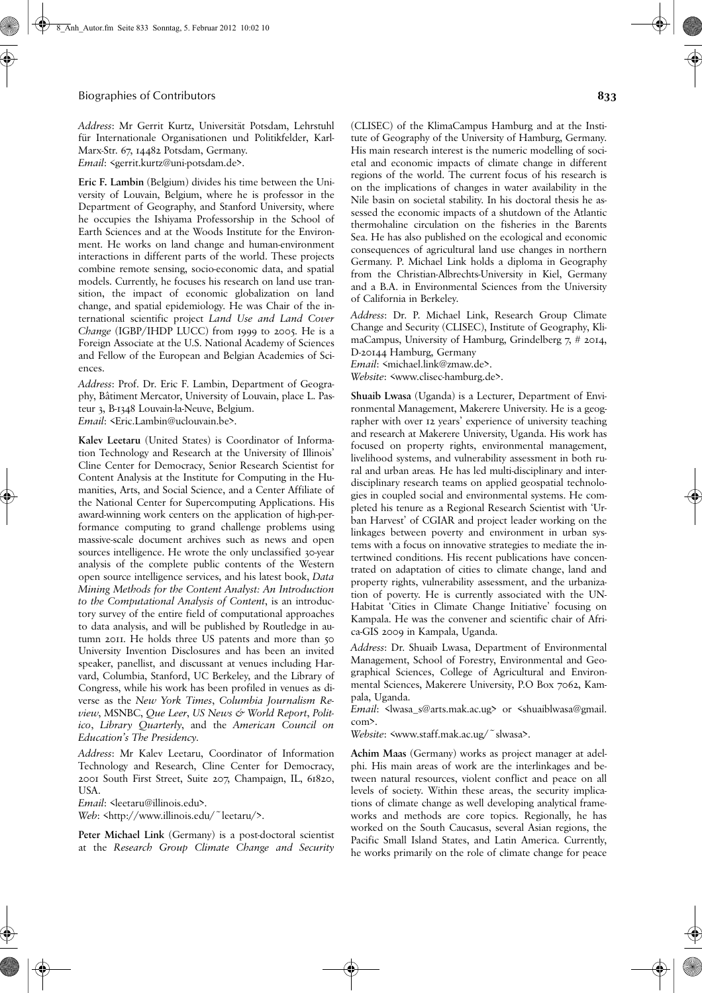*Address*: Mr Gerrit Kurtz, Universität Potsdam, Lehrstuhl für Internationale Organisationen und Politikfelder, Karl-Marx-Str. 67, 14482 Potsdam, Germany. *Email*: <gerrit.kurtz@uni-potsdam.de>.

**Eric F. Lambin** (Belgium) divides his time between the University of Louvain, Belgium, where he is professor in the Department of Geography, and Stanford University, where he occupies the Ishiyama Professorship in the School of Earth Sciences and at the Woods Institute for the Environment. He works on land change and human-environment interactions in different parts of the world. These projects combine remote sensing, socio-economic data, and spatial models. Currently, he focuses his research on land use transition, the impact of economic globalization on land change, and spatial epidemiology. He was Chair of the international scientific project *Land Use and Land Cover Change* (IGBP/IHDP LUCC) from 1999 to 2005. He is a Foreign Associate at the U.S. National Academy of Sciences and Fellow of the European and Belgian Academies of Sciences.

*Address*: Prof. Dr. Eric F. Lambin, Department of Geography, Bâtiment Mercator, University of Louvain, place L. Pasteur 3, B-1348 Louvain-la-Neuve, Belgium. *Email*: <Eric.Lambin@uclouvain.be>.

**Kalev Leetaru** (United States) is Coordinator of Information Technology and Research at the University of Illinois' Cline Center for Democracy, Senior Research Scientist for Content Analysis at the Institute for Computing in the Humanities, Arts, and Social Science, and a Center Affiliate of the National Center for Supercomputing Applications. His award-winning work centers on the application of high-performance computing to grand challenge problems using massive-scale document archives such as news and open sources intelligence. He wrote the only unclassified 30-year analysis of the complete public contents of the Western open source intelligence services, and his latest book, *Data Mining Methods for the Content Analyst: An Introduction to the Computational Analysis of Content*, is an introductory survey of the entire field of computational approaches to data analysis, and will be published by Routledge in autumn 2011. He holds three US patents and more than 50 University Invention Disclosures and has been an invited speaker, panellist, and discussant at venues including Harvard, Columbia, Stanford, UC Berkeley, and the Library of Congress, while his work has been profiled in venues as diverse as the *New York Times*, *Columbia Journalism Review*, MSNBC, *Que Leer*, *US News & World Report*, *Politico*, *Library Quarterly*, and the *American Council on Education's The Presidency*.

*Address*: Mr Kalev Leetaru, Coordinator of Information Technology and Research, Cline Center for Democracy, 2001 South First Street, Suite 207, Champaign, IL, 61820, USA.

*Email*: <leetaru@illinois.edu>.

*Web*: <br/> <http://www.illinois.edu/~leetaru/>.

**Peter Michael Link** (Germany) is a post-doctoral scientist at the *Research Group Climate Change and Security* (CLISEC) of the KlimaCampus Hamburg and at the Institute of Geography of the University of Hamburg, Germany. His main research interest is the numeric modelling of societal and economic impacts of climate change in different regions of the world. The current focus of his research is on the implications of changes in water availability in the Nile basin on societal stability. In his doctoral thesis he assessed the economic impacts of a shutdown of the Atlantic thermohaline circulation on the fisheries in the Barents Sea. He has also published on the ecological and economic consequences of agricultural land use changes in northern Germany. P. Michael Link holds a diploma in Geography from the Christian-Albrechts-University in Kiel, Germany and a B.A. in Environmental Sciences from the University of California in Berkeley.

*Address*: Dr. P. Michael Link, Research Group Climate Change and Security (CLISEC), Institute of Geography, KlimaCampus, University of Hamburg, Grindelberg 7, # 2014, D-20144 Hamburg, Germany *Email*: <michael.link@zmaw.de>.

*Website*: <www.clisec-hamburg.de>.

**Shuaib Lwasa** (Uganda) is a Lecturer, Department of Environmental Management, Makerere University. He is a geographer with over 12 years' experience of university teaching and research at Makerere University, Uganda. His work has focused on property rights, environmental management, livelihood systems, and vulnerability assessment in both rural and urban areas*.* He has led multi-disciplinary and interdisciplinary research teams on applied geospatial technologies in coupled social and environmental systems. He completed his tenure as a Regional Research Scientist with 'Urban Harvest' of CGIAR and project leader working on the linkages between poverty and environment in urban systems with a focus on innovative strategies to mediate the intertwined conditions. His recent publications have concentrated on adaptation of cities to climate change, land and property rights, vulnerability assessment, and the urbanization of poverty. He is currently associated with the UN-Habitat 'Cities in Climate Change Initiative' focusing on Kampala. He was the convener and scientific chair of Africa-GIS 2009 in Kampala, Uganda.

*Address*: Dr. Shuaib Lwasa, Department of Environmental Management, School of Forestry, Environmental and Geographical Sciences, College of Agricultural and Environmental Sciences, Makerere University, P.O Box 7062, Kampala, Uganda.

*Email*: <lwasa\_s@arts.mak.ac.ug> or <shuaiblwasa@gmail. com>.

*Website*: <www.staff.mak.ac.ug/~slwasa>.

**Achim Maas** (Germany) works as project manager at adelphi. His main areas of work are the interlinkages and between natural resources, violent conflict and peace on all levels of society. Within these areas, the security implications of climate change as well developing analytical frameworks and methods are core topics. Regionally, he has worked on the South Caucasus, several Asian regions, the Pacific Small Island States, and Latin America. Currently, he works primarily on the role of climate change for peace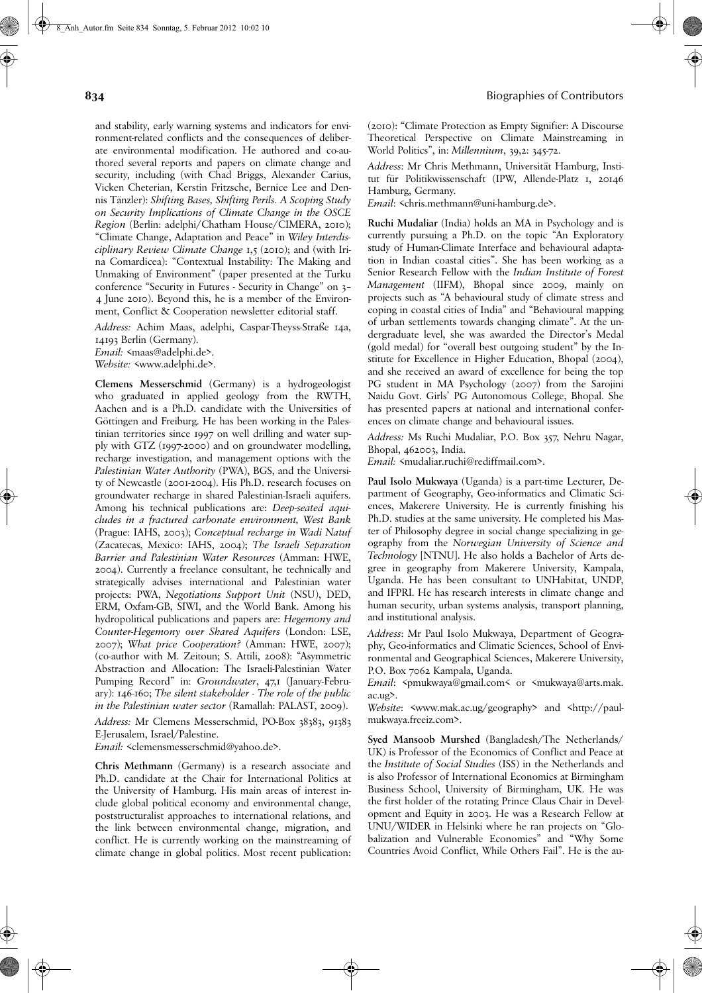and stability, early warning systems and indicators for environment-related conflicts and the consequences of deliberate environmental modification. He authored and co-authored several reports and papers on climate change and security, including (with Chad Briggs, Alexander Carius, Vicken Cheterian, Kerstin Fritzsche, Bernice Lee and Dennis Tänzler): *Shifting Bases, Shifting Perils. A Scoping Study on Security Implications of Climate Change in the OSCE Region* (Berlin: adelphi/Chatham House/CIMERA, 2010); "Climate Change, Adaptation and Peace" in *Wiley Interdisciplinary Review Climate Change* 1,5 (2010); and (with Irina Comardicea): "Contextual Instability: The Making and Unmaking of Environment" (paper presented at the Turku conference "Security in Futures - Security in Change" on 3– 4 June 2010). Beyond this, he is a member of the Environment, Conflict & Cooperation newsletter editorial staff.

*Address:* Achim Maas, adelphi, Caspar-Theyss-Straße 14a, 14193 Berlin (Germany). *Email:* <maas@adelphi.de>. *Website:* <www.adelphi.de>.

**Clemens Messerschmid** (Germany) is a hydrogeologist who graduated in applied geology from the RWTH, Aachen and is a Ph.D. candidate with the Universities of Göttingen and Freiburg. He has been working in the Palestinian territories since 1997 on well drilling and water supply with GTZ (1997-2000) and on groundwater modelling, recharge investigation, and management options with the *Palestinian Water Authority* (PWA), BGS, and the University of Newcastle (2001-2004). His Ph.D. research focuses on groundwater recharge in shared Palestinian-Israeli aquifers. Among his technical publications are: *Deep-seated aquicludes in a fractured carbonate environment, West Bank* (Prague: IAHS, 2003); *Conceptual recharge in Wadi Natuf* (Zacatecas, Mexico: IAHS, 2004); *The Israeli Separation Barrier and Palestinian Water Resources* (Amman: HWE, 2004). Currently a freelance consultant, he technically and strategically advises international and Palestinian water projects: PWA, *Negotiations Support Unit* (NSU), DED, ERM, Oxfam-GB, SIWI, and the World Bank. Among his hydropolitical publications and papers are: *Hegemony and Counter-Hegemony over Shared Aquifers* (London: LSE, 2007); *What price Cooperation?* (Amman: HWE, 2007); (co-author with M. Zeitoun; S. Attili, 2008): "Asymmetric Abstraction and Allocation: The Israeli-Palestinian Water Pumping Record" in: *Groundwater*, 47,1 (January-February): 146-160; *The silent stakeholder - The role of the public in the Palestinian water sector* (Ramallah: PALAST, 2009).

Address: Mr Clemens Messerschmid, PO-Box 38383, 91383 E-Jerusalem, Israel/Palestine.

*Email:* <clemensmesserschmid@yahoo.de>.

**Chris Methmann** (Germany) is a research associate and Ph.D. candidate at the Chair for International Politics at the University of Hamburg. His main areas of interest include global political economy and environmental change, poststructuralist approaches to international relations, and the link between environmental change, migration, and conflict. He is currently working on the mainstreaming of climate change in global politics. Most recent publication:

(2010): "Climate Protection as Empty Signifier: A Discourse Theoretical Perspective on Climate Mainstreaming in World Politics", in: *Millennium*, 39,2: 345-72.

*Address*: Mr Chris Methmann, Universität Hamburg, Institut für Politikwissenschaft (IPW, Allende-Platz 1, 20146 Hamburg, Germany.

*Email*: <chris.methmann@uni-hamburg.de>.

**Ruchi Mudaliar** (India) holds an MA in Psychology and is currently pursuing a Ph.D. on the topic "An Exploratory study of Human-Climate Interface and behavioural adaptation in Indian coastal cities". She has been working as a Senior Research Fellow with the *Indian Institute of Forest Management* (IIFM), Bhopal since 2009, mainly on projects such as "A behavioural study of climate stress and coping in coastal cities of India" and "Behavioural mapping of urban settlements towards changing climate". At the undergraduate level, she was awarded the Director's Medal (gold medal) for "overall best outgoing student" by the Institute for Excellence in Higher Education, Bhopal (2004), and she received an award of excellence for being the top PG student in MA Psychology (2007) from the Sarojini Naidu Govt. Girls' PG Autonomous College, Bhopal. She has presented papers at national and international conferences on climate change and behavioural issues.

*Address:* Ms Ruchi Mudaliar, P.O. Box 357, Nehru Nagar, Bhopal, 462003, India.

*Email:* <mudaliar.ruchi@rediffmail.com>.

**Paul Isolo Mukwaya** (Uganda) is a part-time Lecturer, Department of Geography, Geo-informatics and Climatic Sciences, Makerere University. He is currently finishing his Ph.D. studies at the same university. He completed his Master of Philosophy degree in social change specializing in geography from the *Norwegian University of Science and Technology* [NTNU]. He also holds a Bachelor of Arts degree in geography from Makerere University, Kampala, Uganda. He has been consultant to UNHabitat, UNDP, and IFPRI. He has research interests in climate change and human security, urban systems analysis, transport planning, and institutional analysis.

*Address*: Mr Paul Isolo Mukwaya, Department of Geography, Geo-informatics and Climatic Sciences, School of Environmental and Geographical Sciences, Makerere University, P.O. Box 7062 Kampala, Uganda.

*Email*: <pmukwaya@gmail.com< or <mukwaya@arts.mak. ac.ug>.

*Website*: <www.mak.ac.ug/geography> and <http://paulmukwaya.freeiz.com>.

**Syed Mansoob Murshed** (Bangladesh/The Netherlands/ UK) is Professor of the Economics of Conflict and Peace at the *Institute of Social Studies* (ISS) in the Netherlands and is also Professor of International Economics at Birmingham Business School, University of Birmingham, UK. He was the first holder of the rotating Prince Claus Chair in Development and Equity in 2003. He was a Research Fellow at UNU/WIDER in Helsinki where he ran projects on "Globalization and Vulnerable Economies" and "Why Some Countries Avoid Conflict, While Others Fail". He is the au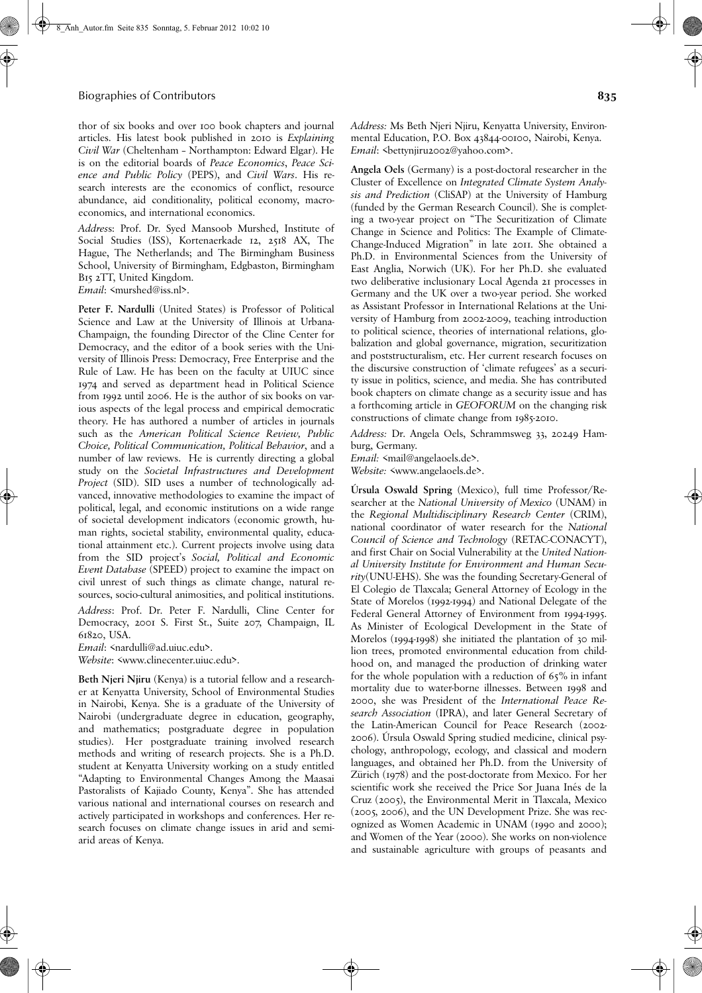thor of six books and over 100 book chapters and journal articles. His latest book published in 2010 is *Explaining Civil War* (Cheltenham – Northampton: Edward Elgar). He is on the editorial boards of *Peace Economics*, *Peace Science and Public Policy* (PEPS), and *Civil Wars*. His research interests are the economics of conflict, resource abundance, aid conditionality, political economy, macroeconomics, and international economics.

*Addres*s: Prof. Dr. Syed Mansoob Murshed, Institute of Social Studies (ISS), Kortenaerkade 12, 2518 AX, The Hague, The Netherlands; and The Birmingham Business School, University of Birmingham, Edgbaston, Birmingham B15 2TT, United Kingdom.

*Email*: <murshed@iss.nl>.

**Peter F. Nardulli** (United States) is Professor of Political Science and Law at the University of Illinois at Urbana-Champaign, the founding Director of the Cline Center for Democracy, and the editor of a book series with the University of Illinois Press: Democracy, Free Enterprise and the Rule of Law. He has been on the faculty at UIUC since 1974 and served as department head in Political Science from 1992 until 2006. He is the author of six books on various aspects of the legal process and empirical democratic theory. He has authored a number of articles in journals such as the *American Political Science Review, Public Choice, Political Communication, Political Behavior*, and a number of law reviews. He is currently directing a global study on the *Societal Infrastructures and Development Project* (SID). SID uses a number of technologically advanced, innovative methodologies to examine the impact of political, legal, and economic institutions on a wide range of societal development indicators (economic growth, human rights, societal stability, environmental quality, educational attainment etc.). Current projects involve using data from the SID project's *Social, Political and Economic Event Database* (SPEED) project to examine the impact on civil unrest of such things as climate change, natural resources, socio-cultural animosities, and political institutions.

*Address*: Prof. Dr. Peter F. Nardulli, Cline Center for Democracy, 2001 S. First St., Suite 207, Champaign, IL 61820, USA.

*Email*: <nardulli@ad.uiuc.edu>.

*Website*: <www.clinecenter.uiuc.edu>.

**Beth Njeri Njiru** (Kenya) is a tutorial fellow and a researcher at Kenyatta University, School of Environmental Studies in Nairobi, Kenya. She is a graduate of the University of Nairobi (undergraduate degree in education, geography, and mathematics; postgraduate degree in population studies). Her postgraduate training involved research methods and writing of research projects. She is a Ph.D. student at Kenyatta University working on a study entitled "Adapting to Environmental Changes Among the Maasai Pastoralists of Kajiado County, Kenya". She has attended various national and international courses on research and actively participated in workshops and conferences. Her research focuses on climate change issues in arid and semiarid areas of Kenya.

*Address:* Ms Beth Njeri Njiru, Kenyatta University, Environmental Education, P.O. Box 43844-00100, Nairobi, Kenya. *Email*: <br />bettyniiru2002@yahoo.com>.

**Angela Oels** (Germany) is a post-doctoral researcher in the Cluster of Excellence on *Integrated Climate System Analysis and Prediction* (CliSAP) at the University of Hamburg (funded by the German Research Council). She is completing a two-year project on "The Securitization of Climate Change in Science and Politics: The Example of Climate-Change-Induced Migration" in late 2011. She obtained a Ph.D. in Environmental Sciences from the University of East Anglia, Norwich (UK). For her Ph.D. she evaluated two deliberative inclusionary Local Agenda 21 processes in Germany and the UK over a two-year period. She worked as Assistant Professor in International Relations at the University of Hamburg from 2002-2009, teaching introduction to political science, theories of international relations, globalization and global governance, migration, securitization and poststructuralism, etc. Her current research focuses on the discursive construction of 'climate refugees' as a security issue in politics, science, and media. She has contributed book chapters on climate change as a security issue and has a forthcoming article in *GEOFORUM* on the changing risk constructions of climate change from 1985-2010.

*Address:* Dr. Angela Oels, Schrammsweg 33, 20249 Hamburg, Germany.

*Email:* <mail@angelaoels.de>. *Website:* <www.angelaoels.de>.

**Úrsula Oswald Spring** (Mexico), full time Professor/Researcher at the *National University of Mexico* (UNAM) in the *Regional Multidisciplinary Research Center* (CRIM), national coordinator of water research for the *National Council of Science and Technology* (RETAC-CONACYT), and first Chair on Social Vulnerability at the *United National University Institute for Environment and Human Security*(UNU-EHS). She was the founding Secretary-General of El Colegio de Tlaxcala; General Attorney of Ecology in the State of Morelos (1992-1994) and National Delegate of the Federal General Attorney of Environment from 1994-1995. As Minister of Ecological Development in the State of Morelos (1994-1998) she initiated the plantation of 30 million trees, promoted environmental education from childhood on, and managed the production of drinking water for the whole population with a reduction of 65% in infant mortality due to water-borne illnesses. Between 1998 and 2000, she was President of the *International Peace Research Association* (IPRA), and later General Secretary of the Latin-American Council for Peace Research (2002- 2006). Úrsula Oswald Spring studied medicine, clinical psychology, anthropology, ecology, and classical and modern languages, and obtained her Ph.D. from the University of Zürich (1978) and the post-doctorate from Mexico. For her scientific work she received the Price Sor Juana Inés de la Cruz (2005), the Environmental Merit in Tlaxcala, Mexico (2005, 2006), and the UN Development Prize. She was recognized as Women Academic in UNAM (1990 and 2000); and Women of the Year (2000). She works on non-violence and sustainable agriculture with groups of peasants and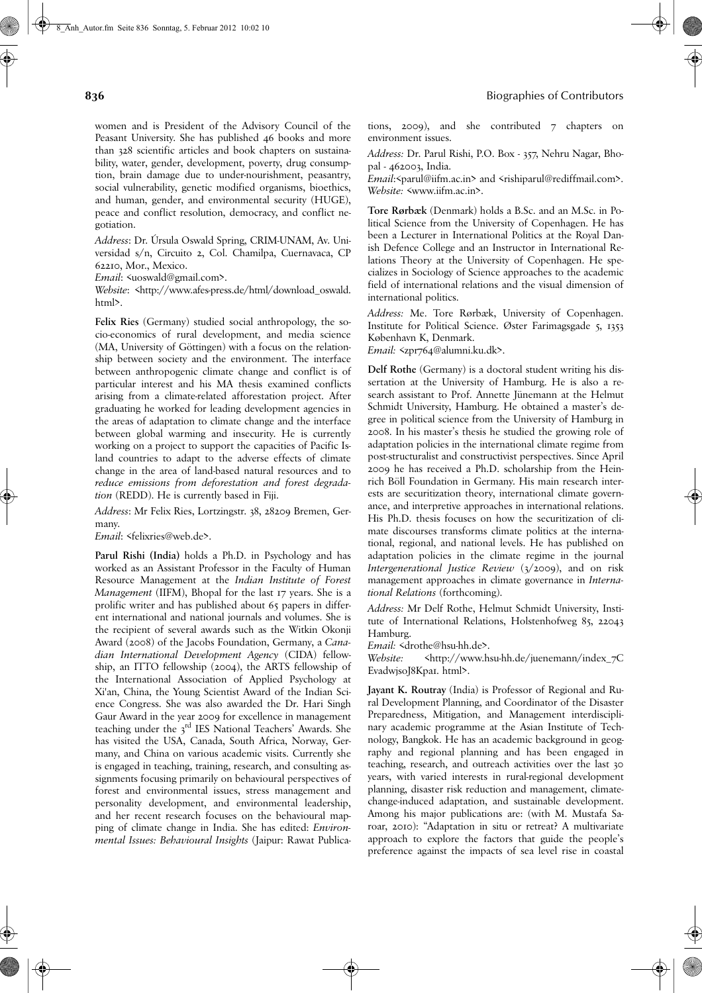women and is President of the Advisory Council of the Peasant University. She has published 46 books and more than 328 scientific articles and book chapters on sustainability, water, gender, development, poverty, drug consumption, brain damage due to under-nourishment, peasantry, social vulnerability, genetic modified organisms, bioethics, and human, gender, and environmental security (HUGE), peace and conflict resolution, democracy, and conflict negotiation.

*Address*: Dr. Úrsula Oswald Spring, CRIM-UNAM, Av. Universidad s/n, Circuito 2, Col. Chamilpa, Cuernavaca, CP 62210, Mor., Mexico.

*Email*: <uoswald@gmail.com>.

*Website*: <http://www.afes-press.de/html/download\_oswald. html>.

**Felix Ries** (Germany) studied social anthropology, the socio-economics of rural development, and media science (MA, University of Göttingen) with a focus on the relationship between society and the environment. The interface between anthropogenic climate change and conflict is of particular interest and his MA thesis examined conflicts arising from a climate-related afforestation project. After graduating he worked for leading development agencies in the areas of adaptation to climate change and the interface between global warming and insecurity. He is currently working on a project to support the capacities of Pacific Island countries to adapt to the adverse effects of climate change in the area of land-based natural resources and to *reduce emissions from deforestation and forest degradation* (REDD). He is currently based in Fiji.

*Address*: Mr Felix Ries, Lortzingstr. 38, 28209 Bremen, Germany.

*Email*: <felixries@web.de>.

**Parul Rishi (India)** holds a Ph.D. in Psychology and has worked as an Assistant Professor in the Faculty of Human Resource Management at the *Indian Institute of Forest Management* (IIFM), Bhopal for the last 17 years. She is a prolific writer and has published about 65 papers in different international and national journals and volumes. She is the recipient of several awards such as the Witkin Okonji Award (2008) of the Jacobs Foundation, Germany, a *Canadian International Development Agency* (CIDA) fellowship, an ITTO fellowship (2004), the ARTS fellowship of the International Association of Applied Psychology at Xi'an, China, the Young Scientist Award of the Indian Science Congress. She was also awarded the Dr. Hari Singh Gaur Award in the year 2009 for excellence in management teaching under the  $3<sup>rd</sup>$  IES National Teachers' Awards. She has visited the USA, Canada, South Africa, Norway, Germany, and China on various academic visits. Currently she is engaged in teaching, training, research, and consulting assignments focusing primarily on behavioural perspectives of forest and environmental issues, stress management and personality development, and environmental leadership, and her recent research focuses on the behavioural mapping of climate change in India. She has edited: *Environmental Issues: Behavioural Insights* (Jaipur: Rawat Publications, 2009), and she contributed 7 chapters on environment issues.

*Address:* Dr. Parul Rishi, P.O. Box - 357, Nehru Nagar, Bhopal - 462003, India.

*Email*:<parul@iifm.ac.in> and <rishiparul@rediffmail.com>. *Website:* <www.iifm.ac.in>.

**Tore Rørbæk** (Denmark) holds a B.Sc. and an M.Sc. in Political Science from the University of Copenhagen. He has been a Lecturer in International Politics at the Royal Danish Defence College and an Instructor in International Relations Theory at the University of Copenhagen. He specializes in Sociology of Science approaches to the academic field of international relations and the visual dimension of international politics.

*Address:* Me. Tore Rørbæk, University of Copenhagen. Institute for Political Science. Øster Farimagsgade 5, 1353 København K, Denmark.

*Email:* <zpr764@alumni.ku.dk>.

**Delf Rothe** (Germany) is a doctoral student writing his dissertation at the University of Hamburg. He is also a research assistant to Prof. Annette Jünemann at the Helmut Schmidt University, Hamburg. He obtained a master's degree in political science from the University of Hamburg in 2008. In his master's thesis he studied the growing role of adaptation policies in the international climate regime from post-structuralist and constructivist perspectives. Since April 2009 he has received a Ph.D. scholarship from the Heinrich Böll Foundation in Germany. His main research interests are securitization theory, international climate governance, and interpretive approaches in international relations. His Ph.D. thesis focuses on how the securitization of climate discourses transforms climate politics at the international, regional, and national levels. He has published on adaptation policies in the climate regime in the journal *Intergenerational Justice Review* (3/2009), and on risk management approaches in climate governance in *International Relations* (forthcoming).

*Address:* Mr Delf Rothe, Helmut Schmidt University, Institute of International Relations, Holstenhofweg 85, 22043 Hamburg.

*Email:* <drothe@hsu-hh.de>.

*Website:* <http://www.hsu-hh.de/juenemann/index\_7C EvadwjsoJ8Kpa1. html>.

**Jayant K. Routray** (India) is Professor of Regional and Rural Development Planning, and Coordinator of the Disaster Preparedness, Mitigation, and Management interdisciplinary academic programme at the Asian Institute of Technology, Bangkok. He has an academic background in geography and regional planning and has been engaged in teaching, research, and outreach activities over the last 30 years, with varied interests in rural-regional development planning, disaster risk reduction and management, climatechange-induced adaptation, and sustainable development. Among his major publications are: (with M. Mustafa Saroar, 2010): "Adaptation in situ or retreat? A multivariate approach to explore the factors that guide the people's preference against the impacts of sea level rise in coastal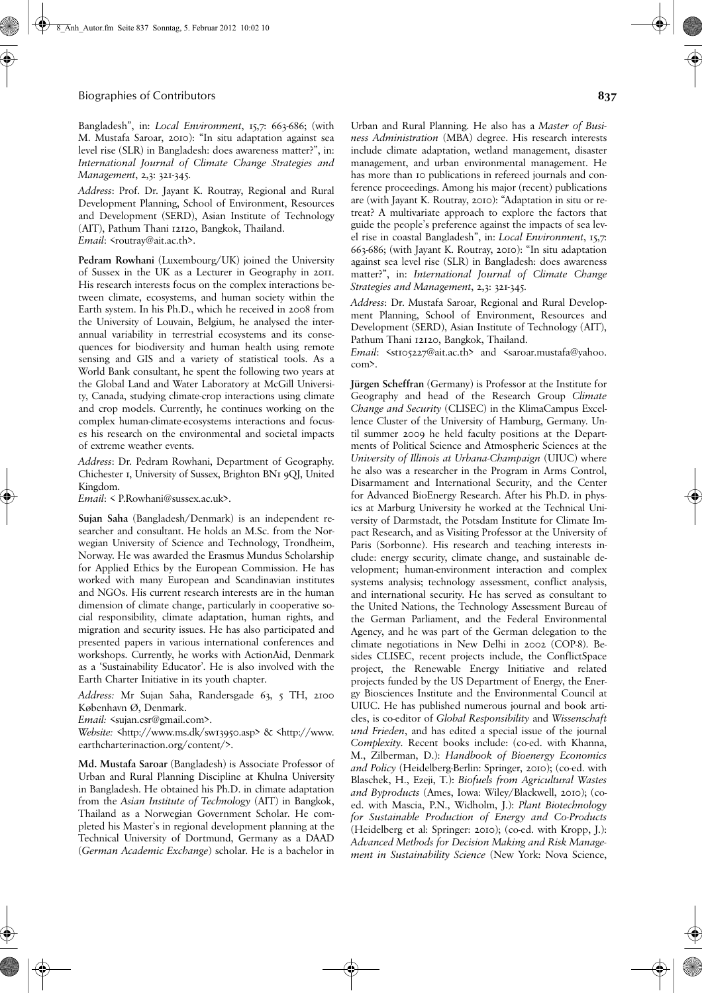Bangladesh", in: *Local Environment*, 15,7: 663-686; (with M. Mustafa Saroar, 2010): "In situ adaptation against sea level rise (SLR) in Bangladesh: does awareness matter?", in: *International Journal of Climate Change Strategies and Management*, 2,3: 321-345.

*Address*: Prof. Dr. Jayant K. Routray, Regional and Rural Development Planning, School of Environment, Resources and Development (SERD), Asian Institute of Technology (AIT), Pathum Thani 12120, Bangkok, Thailand. *Email*: <routray@ait.ac.th>.

**Pedram Rowhani** (Luxembourg/UK) joined the University of Sussex in the UK as a Lecturer in Geography in 2011. His research interests focus on the complex interactions between climate, ecosystems, and human society within the Earth system. In his Ph.D., which he received in 2008 from the University of Louvain, Belgium, he analysed the interannual variability in terrestrial ecosystems and its consequences for biodiversity and human health using remote sensing and GIS and a variety of statistical tools. As a World Bank consultant, he spent the following two years at the Global Land and Water Laboratory at McGill University, Canada, studying climate-crop interactions using climate and crop models. Currently, he continues working on the complex human-climate-ecosystems interactions and focuses his research on the environmental and societal impacts of extreme weather events.

*Address*: Dr. Pedram Rowhani, Department of Geography. Chichester 1, University of Sussex, Brighton BN1 9QJ, United Kingdom.

*Email*: < P.Rowhani@sussex.ac.uk>.

**Sujan Saha** (Bangladesh/Denmark) is an independent researcher and consultant. He holds an M.Sc. from the Norwegian University of Science and Technology, Trondheim, Norway. He was awarded the Erasmus Mundus Scholarship for Applied Ethics by the European Commission. He has worked with many European and Scandinavian institutes and NGOs. His current research interests are in the human dimension of climate change, particularly in cooperative social responsibility, climate adaptation, human rights, and migration and security issues. He has also participated and presented papers in various international conferences and workshops. Currently, he works with ActionAid, Denmark as a 'Sustainability Educator'. He is also involved with the Earth Charter Initiative in its youth chapter.

*Address:* Mr Sujan Saha, Randersgade 63, 5 TH, 2100 København Ø, Denmark.

*Email:* <sujan.csr@gmail.com>.

*Website:* <http://www.ms.dk/sw13950.asp> & *<*http://www. earthcharterinaction.org/content/>.

**Md. Mustafa Saroar** (Bangladesh) is Associate Professor of Urban and Rural Planning Discipline at Khulna University in Bangladesh. He obtained his Ph.D. in climate adaptation from the *Asian Institute of Technology* (AIT) in Bangkok, Thailand as a Norwegian Government Scholar. He completed his Master's in regional development planning at the Technical University of Dortmund, Germany as a DAAD (*German Academic Exchange*) scholar. He is a bachelor in

Urban and Rural Planning. He also has a *Master of Business Administration* (MBA) degree. His research interests include climate adaptation, wetland management, disaster management, and urban environmental management. He has more than 10 publications in refereed journals and conference proceedings. Among his major (recent) publications are (with Jayant K. Routray, 2010): "Adaptation in situ or retreat? A multivariate approach to explore the factors that guide the people's preference against the impacts of sea level rise in coastal Bangladesh", in: *Local Environment*, 15,7: 663-686; (with Jayant K. Routray, 2010): "In situ adaptation against sea level rise (SLR) in Bangladesh: does awareness matter?", in: *International Journal of Climate Change Strategies and Management*, 2,3: 321-345.

*Address*: Dr. Mustafa Saroar, Regional and Rural Development Planning, School of Environment, Resources and Development (SERD), Asian Institute of Technology (AIT), Pathum Thani 12120, Bangkok, Thailand.

*Email*: <st105227@ait.ac.th> and <saroar.mustafa@yahoo. com>.

**Jürgen Scheffran** (Germany) is Professor at the Institute for Geography and head of the Research Group *Climate Change and Security* (CLISEC) in the KlimaCampus Excellence Cluster of the University of Hamburg, Germany. Until summer 2009 he held faculty positions at the Departments of Political Science and Atmospheric Sciences at the *University of Illinois at Urbana-Champaign* (UIUC) where he also was a researcher in the Program in Arms Control, Disarmament and International Security, and the Center for Advanced BioEnergy Research. After his Ph.D. in physics at Marburg University he worked at the Technical University of Darmstadt, the Potsdam Institute for Climate Impact Research, and as Visiting Professor at the University of Paris (Sorbonne). His research and teaching interests include: energy security, climate change, and sustainable development; human-environment interaction and complex systems analysis; technology assessment, conflict analysis, and international security. He has served as consultant to the United Nations, the Technology Assessment Bureau of the German Parliament, and the Federal Environmental Agency, and he was part of the German delegation to the climate negotiations in New Delhi in 2002 (COP-8). Besides CLISEC, recent projects include, the ConflictSpace project, the Renewable Energy Initiative and related projects funded by the US Department of Energy, the Energy Biosciences Institute and the Environmental Council at UIUC. He has published numerous journal and book articles, is co-editor of *Global Responsibility* and *Wissenschaft und Frieden*, and has edited a special issue of the journal *Complexity*. Recent books include: (co-ed. with Khanna, M., Zilberman, D.): *Handbook of Bioenergy Economics and Policy* (Heidelberg-Berlin: Springer, 2010); (co-ed. with Blaschek, H., Ezeji, T.): *Biofuels from Agricultural Wastes and Byproducts* (Ames, Iowa: Wiley/Blackwell, 2010); (coed. with Mascia, P.N., Widholm, J.): *Plant Biotechnology for Sustainable Production of Energy and Co-Products* (Heidelberg et al: Springer: 2010); (co-ed. with Kropp, J.): *Advanced Methods for Decision Making and Risk Management in Sustainability Science* (New York: Nova Science,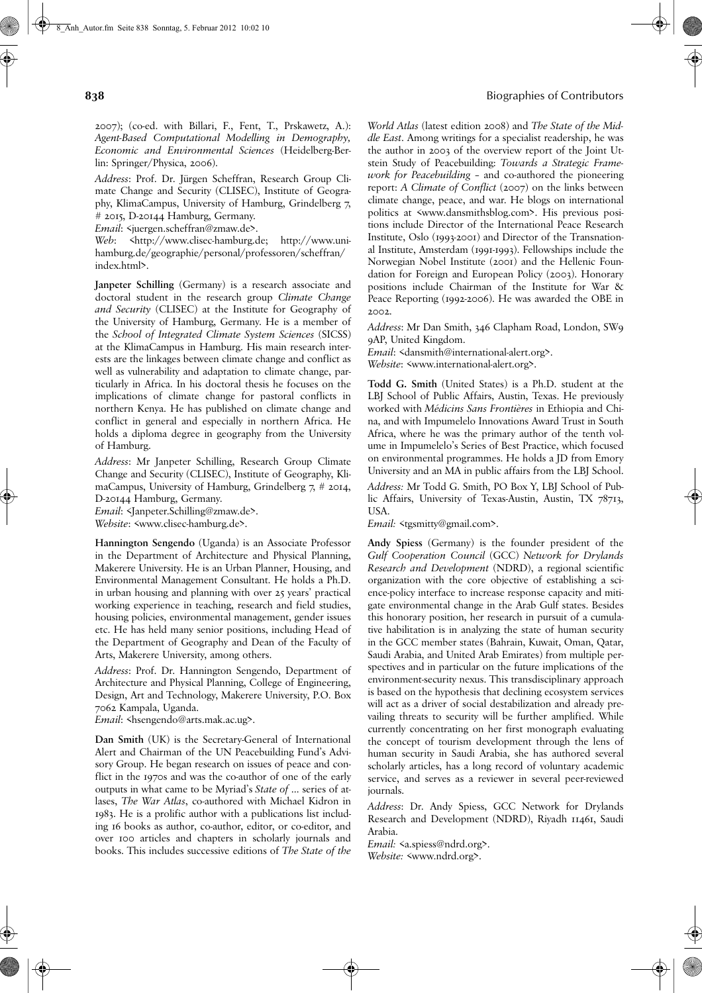2007); (co-ed. with Billari, F., Fent, T., Prskawetz, A.): *Agent-Based Computational Modelling in Demography, Economic and Environmental Sciences* (Heidelberg-Berlin: Springer/Physica, 2006).

*Address*: Prof. Dr. Jürgen Scheffran, Research Group Climate Change and Security (CLISEC), Institute of Geography, KlimaCampus, University of Hamburg, Grindelberg 7, # 2015, D-20144 Hamburg, Germany.

*Email*: <iuergen.scheffran@zmaw.de>.

*Web*: <http://www.clisec-hamburg.de; http://www.unihamburg.de/geographie/personal/professoren/scheffran/ index.html>.

**Janpeter Schilling** (Germany) is a research associate and doctoral student in the research group *Climate Change and Security* (CLISEC) at the Institute for Geography of the University of Hamburg, Germany. He is a member of the *School of Integrated Climate System Sciences* (SICSS) at the KlimaCampus in Hamburg. His main research interests are the linkages between climate change and conflict as well as vulnerability and adaptation to climate change, particularly in Africa. In his doctoral thesis he focuses on the implications of climate change for pastoral conflicts in northern Kenya. He has published on climate change and conflict in general and especially in northern Africa. He holds a diploma degree in geography from the University of Hamburg.

*Address*: Mr Janpeter Schilling, Research Group Climate Change and Security (CLISEC), Institute of Geography, KlimaCampus, University of Hamburg, Grindelberg 7, # 2014, D-20144 Hamburg, Germany.

*Email*: <Janpeter.Schilling@zmaw.de>.

*Website*: <www.clisec-hamburg.de>.

**Hannington Sengendo** (Uganda) is an Associate Professor in the Department of Architecture and Physical Planning, Makerere University. He is an Urban Planner, Housing, and Environmental Management Consultant. He holds a Ph.D. in urban housing and planning with over 25 years' practical working experience in teaching, research and field studies, housing policies, environmental management, gender issues etc. He has held many senior positions, including Head of the Department of Geography and Dean of the Faculty of Arts, Makerere University, among others.

*Address*: Prof. Dr. Hannington Sengendo, Department of Architecture and Physical Planning, College of Engineering, Design, Art and Technology, Makerere University, P.O. Box 7062 Kampala, Uganda.

*Email*: <hsengendo@arts.mak.ac.ug>.

**Dan Smith** (UK) is the Secretary-General of International Alert and Chairman of the UN Peacebuilding Fund's Advisory Group. He began research on issues of peace and conflict in the 1970s and was the co-author of one of the early outputs in what came to be Myriad's *State of* … series of atlases, *The War Atlas*, co-authored with Michael Kidron in 1983. He is a prolific author with a publications list including 16 books as author, co-author, editor, or co-editor, and over 100 articles and chapters in scholarly journals and books. This includes successive editions of *The State of the* *World Atlas* (latest edition 2008) and *The State of the Middle East*. Among writings for a specialist readership, he was the author in 2003 of the overview report of the Joint Utstein Study of Peacebuilding: *Towards a Strategic Framework for Peacebuilding* – and co-authored the pioneering report: *A Climate of Conflict* (2007) on the links between climate change, peace, and war. He blogs on international politics at <www.dansmithsblog.com>. His previous positions include Director of the International Peace Research Institute, Oslo (1993-2001) and Director of the Transnational Institute, Amsterdam (1991-1993). Fellowships include the Norwegian Nobel Institute (2001) and the Hellenic Foundation for Foreign and European Policy (2003). Honorary positions include Chairman of the Institute for War & Peace Reporting (1992-2006). He was awarded the OBE in 2002.

*Address*: Mr Dan Smith, 346 Clapham Road, London, SW9 9AP, United Kingdom.

*Email*: <dansmith@international-alert.org>. *Website*: <www.international-alert.org>.

**Todd G. Smith** (United States) is a Ph.D. student at the LBJ School of Public Affairs, Austin, Texas. He previously worked with *Médicins Sans Frontières* in Ethiopia and China, and with Impumelelo Innovations Award Trust in South Africa, where he was the primary author of the tenth volume in Impumelelo's Series of Best Practice, which focused on environmental programmes. He holds a JD from Emory University and an MA in public affairs from the LBJ School.

*Address:* Mr Todd G. Smith, PO Box Y, LBJ School of Public Affairs, University of Texas-Austin, Austin, TX 78713, USA.

*Email:* <tgsmitty@gmail.com>.

**Andy Spiess** (Germany) is the founder president of the *Gulf Cooperation Council* (GCC) *Network for Drylands Research and Development* (NDRD), a regional scientific organization with the core objective of establishing a science-policy interface to increase response capacity and mitigate environmental change in the Arab Gulf states. Besides this honorary position, her research in pursuit of a cumulative habilitation is in analyzing the state of human security in the GCC member states (Bahrain, Kuwait, Oman, Qatar, Saudi Arabia, and United Arab Emirates) from multiple perspectives and in particular on the future implications of the environment-security nexus. This transdisciplinary approach is based on the hypothesis that declining ecosystem services will act as a driver of social destabilization and already prevailing threats to security will be further amplified. While currently concentrating on her first monograph evaluating the concept of tourism development through the lens of human security in Saudi Arabia, she has authored several scholarly articles, has a long record of voluntary academic service, and serves as a reviewer in several peer-reviewed journals.

*Address*: Dr. Andy Spiess, GCC Network for Drylands Research and Development (NDRD), Riyadh 11461, Saudi Arabia.

*Email:* <a.spiess@ndrd.org>. *Website:* <www.ndrd.org>.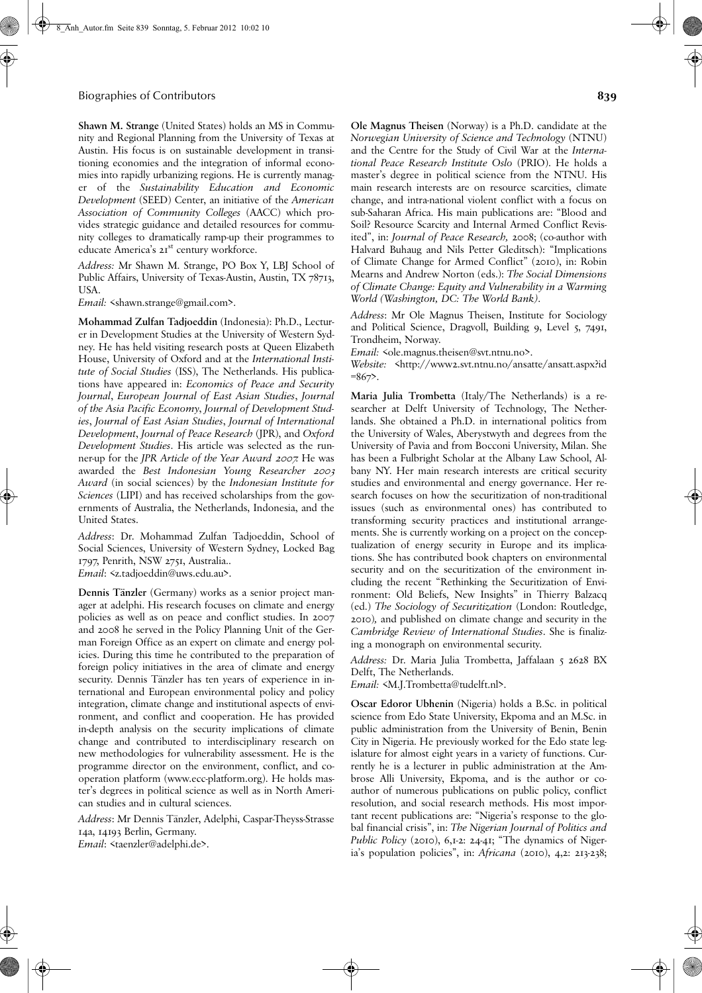**Shawn M. Strange** (United States) holds an MS in Community and Regional Planning from the University of Texas at Austin. His focus is on sustainable development in transitioning economies and the integration of informal economies into rapidly urbanizing regions. He is currently manager of the *Sustainability Education and Economic Development* (SEED) Center, an initiative of the *American Association of Community Colleges* (AACC) which provides strategic guidance and detailed resources for community colleges to dramatically ramp-up their programmes to educate America's 21<sup>st</sup> century workforce.

*Address:* Mr Shawn M. Strange, PO Box Y, LBJ School of Public Affairs, University of Texas-Austin, Austin, TX 78713, USA.

*Email:* <shawn.strange@gmail.com>.

**Mohammad Zulfan Tadjoeddin** (Indonesia): Ph.D., Lecturer in Development Studies at the University of Western Sydney. He has held visiting research posts at Queen Elizabeth House, University of Oxford and at the *International Institute of Social Studies* (ISS), The Netherlands. His publications have appeared in: *Economics of Peace and Security Journal*, *European Journal of East Asian Studies*, *Journal of the Asia Pacific Economy*, *Journal of Development Studies*, *Journal of East Asian Studies*, *Journal of International Development*, *Journal of Peace Research* (JPR), and *Oxford Development Studies*. His article was selected as the runner-up for the *JPR Article of the Year Award* 2007. He was awarded the *Best Indonesian Young Researcher* <sup>2003</sup> *Award* (in social sciences) by the *Indonesian Institute for Sciences* (LIPI) and has received scholarships from the governments of Australia, the Netherlands, Indonesia, and the United States.

*Address*: Dr. Mohammad Zulfan Tadjoeddin, School of Social Sciences, University of Western Sydney, Locked Bag 1797, Penrith, NSW 2751, Australia.. *Email*: <z.tadjoeddin@uws.edu.au>.

**Dennis Tänzler** (Germany) works as a senior project manager at adelphi. His research focuses on climate and energy policies as well as on peace and conflict studies. In 2007 and 2008 he served in the Policy Planning Unit of the German Foreign Office as an expert on climate and energy policies. During this time he contributed to the preparation of foreign policy initiatives in the area of climate and energy security. Dennis Tänzler has ten years of experience in international and European environmental policy and policy integration, climate change and institutional aspects of environment, and conflict and cooperation. He has provided in-depth analysis on the security implications of climate change and contributed to interdisciplinary research on new methodologies for vulnerability assessment. He is the programme director on the environment, conflict, and cooperation platform (www.ecc-platform.org). He holds master's degrees in political science as well as in North American studies and in cultural sciences.

*Address*: Mr Dennis Tänzler, Adelphi, Caspar-Theyss-Strasse 14a, 14193 Berlin, Germany. *Email*: <taenzler@adelphi.de>.

**Ole Magnus Theisen** (Norway) is a Ph.D. candidate at the *Norwegian University of Science and Technology* (NTNU) and the Centre for the Study of Civil War at the *International Peace Research Institute Oslo* (PRIO). He holds a master's degree in political science from the NTNU. His main research interests are on resource scarcities, climate change, and intra-national violent conflict with a focus on sub-Saharan Africa. His main publications are: "Blood and Soil? Resource Scarcity and Internal Armed Conflict Revisited", in: *Journal of Peace Research,* 2008; (co-author with Halvard Buhaug and Nils Petter Gleditsch): "Implications of Climate Change for Armed Conflict" (2010), in: Robin Mearns and Andrew Norton (eds.): *The Social Dimensions of Climate Change: Equity and Vulnerability in a Warming World (Washington, DC: The World Bank)*.

*Address*: Mr Ole Magnus Theisen, Institute for Sociology and Political Science, Dragvoll, Building 9, Level 5, 7491, Trondheim, Norway.

*Email:* <ole.magnus.theisen@svt.ntnu.no>.

*Website:* <http://www2.svt.ntnu.no/ansatte/ansatt.aspx?id  $=867$ .

**Maria Julia Trombetta** (Italy/The Netherlands) is a researcher at Delft University of Technology, The Netherlands. She obtained a Ph.D. in international politics from the University of Wales, Aberystwyth and degrees from the University of Pavia and from Bocconi University, Milan. She has been a Fulbright Scholar at the Albany Law School, Albany NY. Her main research interests are critical security studies and environmental and energy governance. Her research focuses on how the securitization of non-traditional issues (such as environmental ones) has contributed to transforming security practices and institutional arrangements. She is currently working on a project on the conceptualization of energy security in Europe and its implications. She has contributed book chapters on environmental security and on the securitization of the environment including the recent "Rethinking the Securitization of Environment: Old Beliefs, New Insights" in Thierry Balzacq (ed.) *The Sociology of Securitization* (London: Routledge, 2010)*,* and published on climate change and security in the *Cambridge Review of International Studies*. She is finalizing a monograph on environmental security.

*Address:* Dr. Maria Julia Trombetta, Jaffalaan 5 2628 BX Delft, The Netherlands.

*Email:* <M.J.Trombetta@tudelft.nl>.

**Oscar Edoror Ubhenin** (Nigeria) holds a B.Sc. in political science from Edo State University, Ekpoma and an M.Sc. in public administration from the University of Benin, Benin City in Nigeria. He previously worked for the Edo state legislature for almost eight years in a variety of functions. Currently he is a lecturer in public administration at the Ambrose Alli University, Ekpoma, and is the author or coauthor of numerous publications on public policy, conflict resolution, and social research methods. His most important recent publications are: "Nigeria's response to the global financial crisis", in: *The Nigerian Journal of Politics and Public Policy* (2010), 6,1-2: 24-41; "The dynamics of Nigeria's population policies", in: *Africana* (2010), 4,2: 213-238;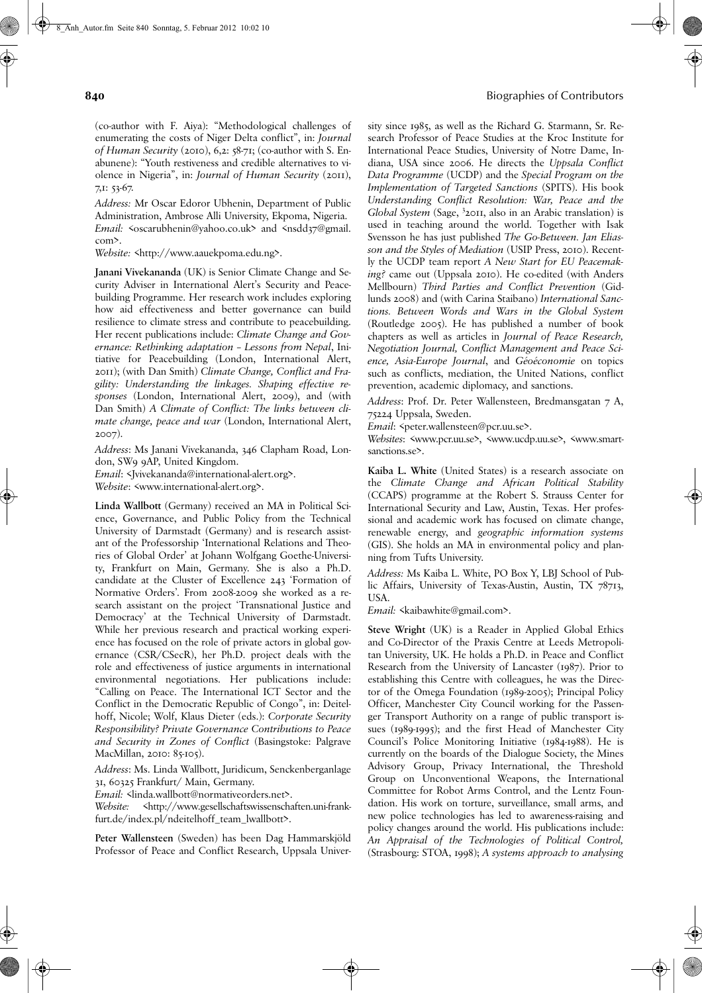*Address:* Mr Oscar Edoror Ubhenin, Department of Public Administration, Ambrose Alli University, Ekpoma, Nigeria. *Email:* <oscarubhenin@yahoo.co.uk> and <nsdd37@gmail. com>.

*Website:* <http://www.aauekpoma.edu.ng>.

**Janani Vivekananda** (UK) is Senior Climate Change and Security Adviser in International Alert's Security and Peacebuilding Programme. Her research work includes exploring how aid effectiveness and better governance can build resilience to climate stress and contribute to peacebuilding. Her recent publications include: *Climate Change and Governance: Rethinking adaptation – Lessons from Nepal*, Initiative for Peacebuilding (London, International Alert, 2011); (with Dan Smith) *Climate Change, Conflict and Fragility: Understanding the linkages. Shaping effective responses* (London, International Alert, 2009), and (with Dan Smith) *A Climate of Conflict: The links between climate change, peace and war* (London, International Alert, 2007).

*Address*: Ms Janani Vivekananda, 346 Clapham Road, London, SW9 9AP, United Kingdom.

*Email*: <Jvivekananda@international-alert.org>.

*Website*: <www.international-alert.org>.

**Linda Wallbott** (Germany) received an MA in Political Science, Governance, and Public Policy from the Technical University of Darmstadt (Germany) and is research assistant of the Professorship 'International Relations and Theories of Global Order' at Johann Wolfgang Goethe-University, Frankfurt on Main, Germany. She is also a Ph.D. candidate at the Cluster of Excellence 243 'Formation of Normative Orders'. From 2008-2009 she worked as a research assistant on the project 'Transnational Justice and Democracy' at the Technical University of Darmstadt. While her previous research and practical working experience has focused on the role of private actors in global governance (CSR/CSecR), her Ph.D. project deals with the role and effectiveness of justice arguments in international environmental negotiations. Her publications include: "Calling on Peace. The International ICT Sector and the Conflict in the Democratic Republic of Congo", in: Deitelhoff, Nicole; Wolf, Klaus Dieter (eds.): *Corporate Security Responsibility? Private Governance Contributions to Peace and Security in Zones of Conflict* (Basingstoke: Palgrave MacMillan, 2010: 85-105).

*Address*: Ms. Linda Wallbott, Juridicum, Senckenberganlage 31, 60325 Frankfurt/ Main, Germany.

*Email:* <linda.wallbott@normativeorders.net>.

*Website:* <http://www.gesellschaftswissenschaften.uni-frankfurt.de/index.pl/ndeitelhoff\_team\_lwallbott>.

**Peter Wallensteen** (Sweden) has been Dag Hammarskjöld Professor of Peace and Conflict Research, Uppsala Univer-

sity since 1985, as well as the Richard G. Starmann, Sr. Research Professor of Peace Studies at the Kroc Institute for International Peace Studies, University of Notre Dame, Indiana, USA since 2006. He directs the *Uppsala Conflict Data Programme* (UCDP) and the *Special Program on the Implementation of Targeted Sanctions* (SPITS). His book *Understanding Conflict Resolution: War, Peace and the Global System* (Sage, <sup>3</sup> 2011, also in an Arabic translation) is used in teaching around the world. Together with Isak Svensson he has just published *The Go-Between. Jan Eliasson and the Styles of Mediation* (USIP Press, 2010). Recently the UCDP team report *A New Start for EU Peacemaking?* came out (Uppsala 2010). He co-edited (with Anders Mellbourn) *Third Parties and Conflict Prevention* (Gidlunds 2008) and (with Carina Staibano) *International Sanctions. Between Words and Wars in the Global System* (Routledge 2005). He has published a number of book chapters as well as articles in *Journal of Peace Research, Negotiation Journal, Conflict Management and Peace Science, Asia-Europe Journal*, and *Géoéconomie* on topics such as conflicts, mediation, the United Nations, conflict prevention, academic diplomacy, and sanctions.

*Address*: Prof. Dr. Peter Wallensteen, Bredmansgatan 7 A, 75224 Uppsala, Sweden.

*Email*: <peter.wallensteen@pcr.uu.se>.

*Websites*: <www.pcr.uu.se>, <www.ucdp.uu.se>, <www.smartsanctions.se>.

**Kaiba L. White** (United States) is a research associate on the *Climate Change and African Political Stability* (CCAPS) programme at the Robert S. Strauss Center for International Security and Law, Austin, Texas. Her professional and academic work has focused on climate change, renewable energy, and *geographic information systems* (GIS). She holds an MA in environmental policy and planning from Tufts University.

*Address:* Ms Kaiba L. White, PO Box Y, LBJ School of Public Affairs, University of Texas-Austin, Austin, TX 78713, USA.

*Email:* <kaibawhite@gmail.com>.

**Steve Wright** (UK) is a Reader in Applied Global Ethics and Co-Director of the Praxis Centre at Leeds Metropolitan University, UK. He holds a Ph.D. in Peace and Conflict Research from the University of Lancaster (1987). Prior to establishing this Centre with colleagues, he was the Director of the Omega Foundation (1989-2005); Principal Policy Officer, Manchester City Council working for the Passenger Transport Authority on a range of public transport issues (1989-1995); and the first Head of Manchester City Council's Police Monitoring Initiative (1984-1988). He is currently on the boards of the Dialogue Society, the Mines Advisory Group, Privacy International, the Threshold Group on Unconventional Weapons, the International Committee for Robot Arms Control, and the Lentz Foundation. His work on torture, surveillance, small arms, and new police technologies has led to awareness-raising and policy changes around the world. His publications include: *An Appraisal of the Technologies of Political Control,* (Strasbourg: STOA, 1998); *A systems approach to analysing*